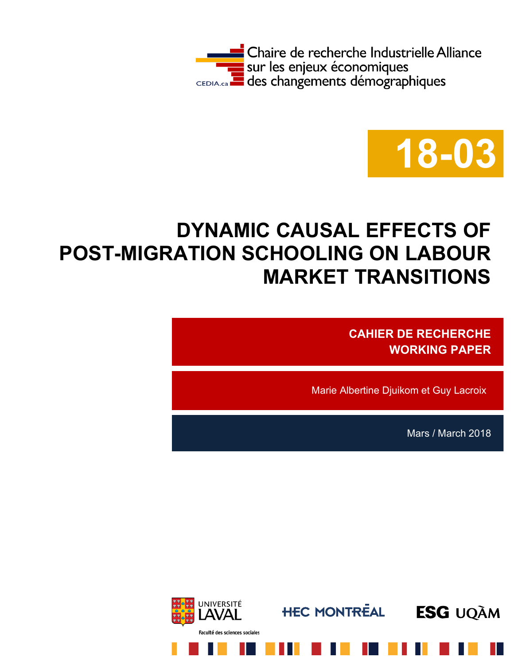



# **DYNAMIC CAUSAL EFFECTS OF POST-MIGRATION SCHOOLING ON LABOUR MARKET TRANSITIONS**

**CAHIER DE RECHERCHE WORKING PAPER**

Marie Albertine Djuikom et Guy Lacroix

Mars / March 2018

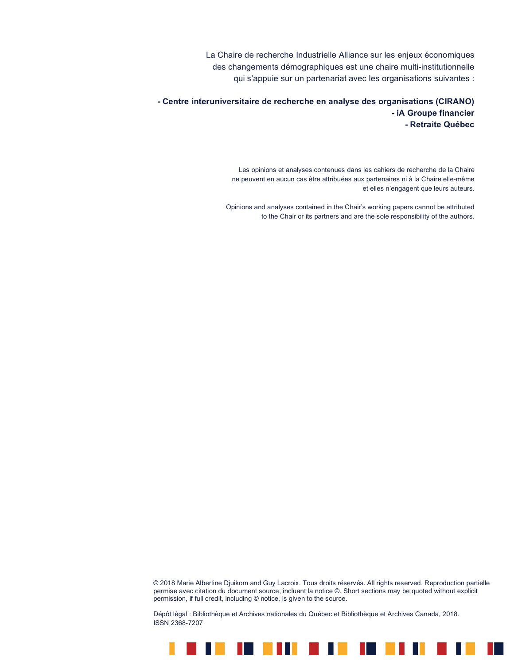La Chaire de recherche Industrielle Alliance sur les enjeux économiques des changements démographiques est une chaire multi-institutionnelle qui s'appuie sur un partenariat avec les organisations suivantes :

**- Centre interuniversitaire de recherche en analyse des organisations (CIRANO) - iA Groupe financier - Retraite Québec**

> Les opinions et analyses contenues dans les cahiers de recherche de la Chaire ne peuvent en aucun cas être attribuées aux partenaires ni à la Chaire elle-même et elles n'engagent que leurs auteurs.

Opinions and analyses contained in the Chair's working papers cannot be attributed to the Chair or its partners and are the sole responsibility of the authors.

© 2018 Marie Albertine Djuikom and Guy Lacroix. Tous droits réservés. All rights reserved. Reproduction partielle permise avec citation du document source, incluant la notice ©. Short sections may be quoted without explicit permission, if full credit, including © notice, is given to the source.

. . . . . . . . . . .

Dépôt légal : Bibliothèque et Archives nationales du Québec et Bibliothèque et Archives Canada, 2018. ISSN 2368-7207

×.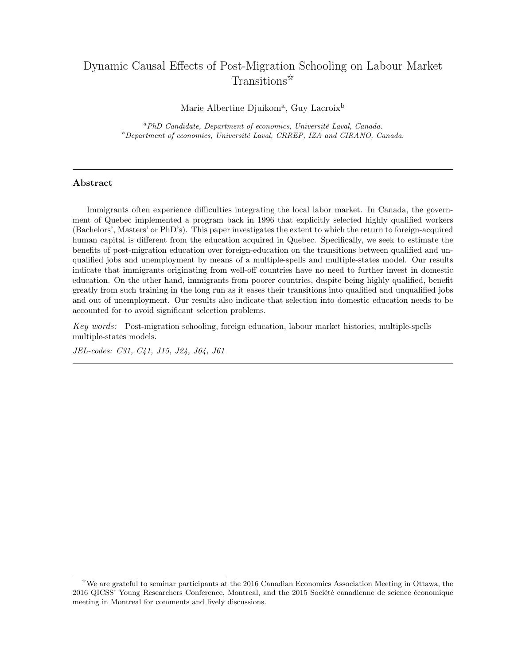# <span id="page-2-0"></span>Dynamic Causal Effects of Post-Migration Schooling on Labour Market Transitions<sup>\*</sup>

Marie Albertine Djuikom<sup>a</sup>, Guy Lacroix<sup>b</sup>

<sup>a</sup>PhD Candidate, Department of economics, Université Laval, Canada.  $^{b}$  Department of economics, Université Laval, CRREP, IZA and CIRANO, Canada.

### Abstract

Immigrants often experience difficulties integrating the local labor market. In Canada, the government of Quebec implemented a program back in 1996 that explicitly selected highly qualified workers (Bachelors', Masters' or PhD's). This paper investigates the extent to which the return to foreign-acquired human capital is different from the education acquired in Quebec. Specifically, we seek to estimate the benefits of post-migration education over foreign-education on the transitions between qualified and unqualified jobs and unemployment by means of a multiple-spells and multiple-states model. Our results indicate that immigrants originating from well-off countries have no need to further invest in domestic education. On the other hand, immigrants from poorer countries, despite being highly qualified, benefit greatly from such training in the long run as it eases their transitions into qualified and unqualified jobs and out of unemployment. Our results also indicate that selection into domestic education needs to be accounted for to avoid significant selection problems.

Key words: Post-migration schooling, foreign education, labour market histories, multiple-spells multiple-states models.

JEL-codes: C31, C41, J15, J24, J64, J61

<sup>✩</sup>We are grateful to seminar participants at the 2016 Canadian Economics Association Meeting in Ottawa, the 2016 QICSS' Young Researchers Conference, Montreal, and the 2015 Société canadienne de science économique meeting in Montreal for comments and lively discussions.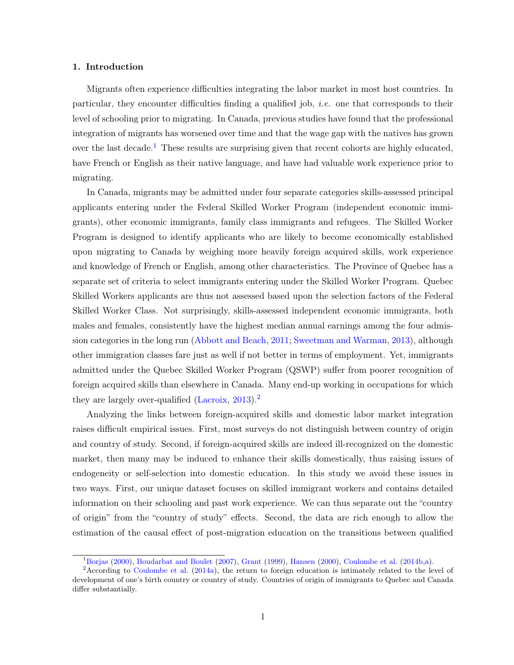#### 1. Introduction

Migrants often experience difficulties integrating the labor market in most host countries. In particular, they encounter difficulties finding a qualified job, i.e. one that corresponds to their level of schooling prior to migrating. In Canada, previous studies have found that the professional integration of migrants has worsened over time and that the wage gap with the natives has grown over the last decade.<sup>[1](#page-3-0)</sup> These results are surprising given that recent cohorts are highly educated, have French or English as their native language, and have had valuable work experience prior to migrating.

In Canada, migrants may be admitted under four separate categories skills-assessed principal applicants entering under the Federal Skilled Worker Program (independent economic immigrants), other economic immigrants, family class immigrants and refugees. The Skilled Worker Program is designed to identify applicants who are likely to become economically established upon migrating to Canada by weighing more heavily foreign acquired skills, work experience and knowledge of French or English, among other characteristics. The Province of Quebec has a separate set of criteria to select immigrants entering under the Skilled Worker Program. Quebec Skilled Workers applicants are thus not assessed based upon the selection factors of the Federal Skilled Worker Class. Not surprisingly, skills-assessed independent economic immigrants, both males and females, consistently have the highest median annual earnings among the four admission categories in the long run [\(Abbott and Beach,](#page-27-0) [2011;](#page-27-0) [Sweetman and Warman,](#page-29-0) [2013\)](#page-29-0), although other immigration classes fare just as well if not better in terms of employment. Yet, immigrants admitted under the Quebec Skilled Worker Program (QSWP) suffer from poorer recognition of foreign acquired skills than elsewhere in Canada. Many end-up working in occupations for which they are largely over-qualified [\(Lacroix,](#page-29-1) [2013\)](#page-29-1).<sup>[2](#page-3-1)</sup>

Analyzing the links between foreign-acquired skills and domestic labor market integration raises difficult empirical issues. First, most surveys do not distinguish between country of origin and country of study. Second, if foreign-acquired skills are indeed ill-recognized on the domestic market, then many may be induced to enhance their skills domestically, thus raising issues of endogeneity or self-selection into domestic education. In this study we avoid these issues in two ways. First, our unique dataset focuses on skilled immigrant workers and contains detailed information on their schooling and past work experience. We can thus separate out the "country of origin" from the "country of study" effects. Second, the data are rich enough to allow the estimation of the causal effect of post-migration education on the transitions between qualified

<span id="page-3-1"></span><span id="page-3-0"></span><sup>1</sup>[Borjas](#page-27-1) [\(2000\)](#page-27-1), [Boudarbat and Boulet](#page-27-2) [\(2007\)](#page-27-2), [Grant](#page-28-0) [\(1999\)](#page-28-0), [Hansen](#page-28-1) [\(2000\)](#page-28-1), [Coulombe et al.](#page-28-2) [\(2014b,](#page-28-2)[a\)](#page-28-3).

 $2$ According to [Coulombe et al.](#page-28-3) [\(2014a\)](#page-28-3), the return to foreign education is intimately related to the level of development of one's birth country or country of study. Countries of origin of immigrants to Quebec and Canada differ substantially.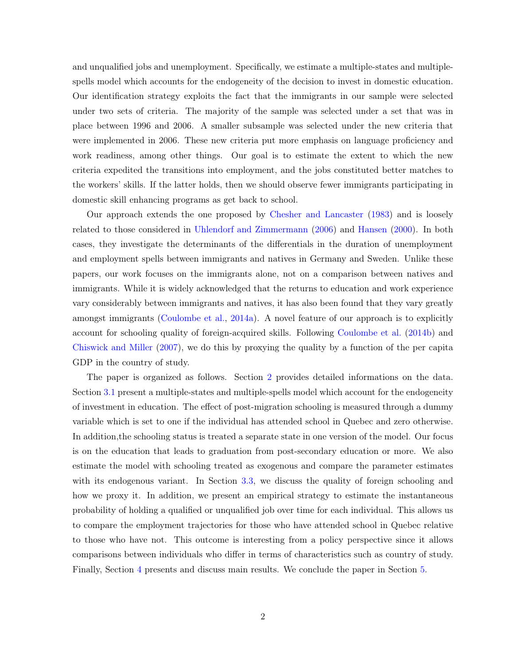<span id="page-4-0"></span>and unqualified jobs and unemployment. Specifically, we estimate a multiple-states and multiplespells model which accounts for the endogeneity of the decision to invest in domestic education. Our identification strategy exploits the fact that the immigrants in our sample were selected under two sets of criteria. The majority of the sample was selected under a set that was in place between 1996 and 2006. A smaller subsample was selected under the new criteria that were implemented in 2006. These new criteria put more emphasis on language proficiency and work readiness, among other things. Our goal is to estimate the extent to which the new criteria expedited the transitions into employment, and the jobs constituted better matches to the workers' skills. If the latter holds, then we should observe fewer immigrants participating in domestic skill enhancing programs as get back to school.

Our approach extends the one proposed by [Chesher and Lancaster](#page-27-3) [\(1983\)](#page-27-3) and is loosely related to those considered in [Uhlendorf and Zimmermann](#page-29-2) [\(2006\)](#page-29-2) and [Hansen](#page-28-1) [\(2000\)](#page-28-1). In both cases, they investigate the determinants of the differentials in the duration of unemployment and employment spells between immigrants and natives in Germany and Sweden. Unlike these papers, our work focuses on the immigrants alone, not on a comparison between natives and immigrants. While it is widely acknowledged that the returns to education and work experience vary considerably between immigrants and natives, it has also been found that they vary greatly amongst immigrants [\(Coulombe et al.,](#page-28-3) [2014a\)](#page-28-3). A novel feature of our approach is to explicitly account for schooling quality of foreign-acquired skills. Following [Coulombe et al.](#page-28-2) [\(2014b\)](#page-28-2) and [Chiswick and Miller](#page-27-4) [\(2007\)](#page-27-4), we do this by proxying the quality by a function of the per capita GDP in the country of study.

The paper is organized as follows. Section [2](#page-5-0) provides detailed informations on the data. Section [3.1](#page-12-0) present a multiple-states and multiple-spells model which account for the endogeneity of investment in education. The effect of post-migration schooling is measured through a dummy variable which is set to one if the individual has attended school in Quebec and zero otherwise. In addition,the schooling status is treated a separate state in one version of the model. Our focus is on the education that leads to graduation from post-secondary education or more. We also estimate the model with schooling treated as exogenous and compare the parameter estimates with its endogenous variant. In Section [3.3,](#page-15-0) we discuss the quality of foreign schooling and how we proxy it. In addition, we present an empirical strategy to estimate the instantaneous probability of holding a qualified or unqualified job over time for each individual. This allows us to compare the employment trajectories for those who have attended school in Quebec relative to those who have not. This outcome is interesting from a policy perspective since it allows comparisons between individuals who differ in terms of characteristics such as country of study. Finally, Section [4](#page-18-0) presents and discuss main results. We conclude the paper in Section [5.](#page-25-0)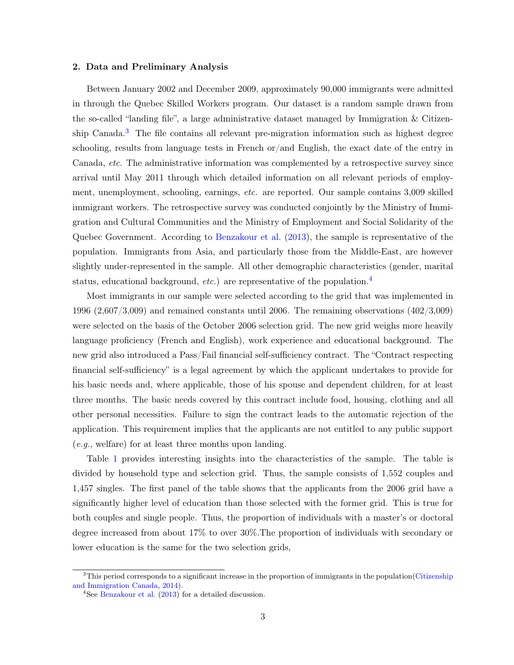#### <span id="page-5-3"></span><span id="page-5-0"></span>2. Data and Preliminary Analysis

Between January 2002 and December 2009, approximately 90,000 immigrants were admitted in through the Quebec Skilled Workers program. Our dataset is a random sample drawn from the so-called "landing file", a large administrative dataset managed by Immigration & Citizen-ship Canada.<sup>[3](#page-5-1)</sup> The file contains all relevant pre-migration information such as highest degree schooling, results from language tests in French or/and English, the exact date of the entry in Canada, etc. The administrative information was complemented by a retrospective survey since arrival until May 2011 through which detailed information on all relevant periods of employment, unemployment, schooling, earnings, etc. are reported. Our sample contains 3,009 skilled immigrant workers. The retrospective survey was conducted conjointly by the Ministry of Immigration and Cultural Communities and the Ministry of Employment and Social Solidarity of the Quebec Government. According to [Benzakour et al.](#page-27-5) [\(2013\)](#page-27-5), the sample is representative of the population. Immigrants from Asia, and particularly those from the Middle-East, are however slightly under-represented in the sample. All other demographic characteristics (gender, marital status, educational background,  $etc.$ ) are representative of the population.<sup>[4](#page-5-2)</sup>

Most immigrants in our sample were selected according to the grid that was implemented in 1996 (2,607/3,009) and remained constants until 2006. The remaining observations (402/3,009) were selected on the basis of the October 2006 selection grid. The new grid weighs more heavily language proficiency (French and English), work experience and educational background. The new grid also introduced a Pass/Fail financial self-sufficiency contract. The "Contract respecting financial self-sufficiency" is a legal agreement by which the applicant undertakes to provide for his basic needs and, where applicable, those of his spouse and dependent children, for at least three months. The basic needs covered by this contract include food, housing, clothing and all other personal necessities. Failure to sign the contract leads to the automatic rejection of the application. This requirement implies that the applicants are not entitled to any public support (e.g., welfare) for at least three months upon landing.

Table [1](#page-6-0) provides interesting insights into the characteristics of the sample. The table is divided by household type and selection grid. Thus, the sample consists of 1,552 couples and 1,457 singles. The first panel of the table shows that the applicants from the 2006 grid have a significantly higher level of education than those selected with the former grid. This is true for both couples and single people. Thus, the proportion of individuals with a master's or doctoral degree increased from about 17% to over 30%.The proportion of individuals with secondary or lower education is the same for the two selection grids,

<span id="page-5-1"></span> $3$ This period corresponds to a significant increase in the proportion of immigrants in the population[\(Citizenship](#page-27-6) [and Immigration Canada,](#page-27-6) [2014\)](#page-27-6).

<span id="page-5-2"></span><sup>&</sup>lt;sup>4</sup>See [Benzakour et al.](#page-27-5)  $(2013)$  for a detailed discussion.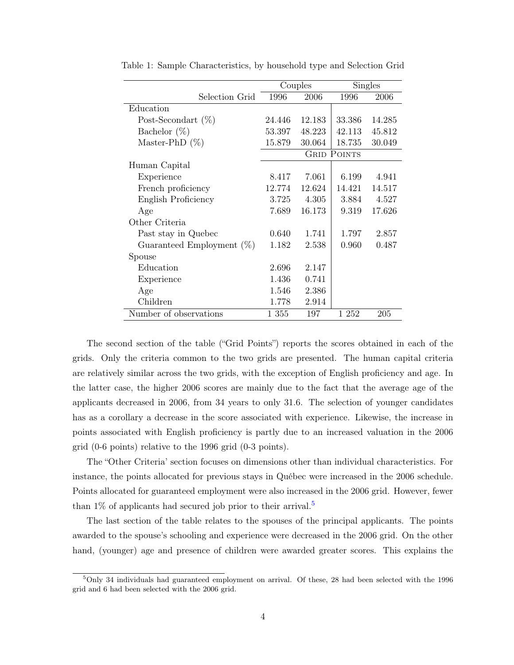|                              | Couples |        |                    | Singles |
|------------------------------|---------|--------|--------------------|---------|
| Selection Grid               | 1996    | 2006   | 1996               | 2006    |
| Education                    |         |        |                    |         |
| Post-Secondart $(\%)$        | 24.446  | 12.183 | 33.386             | 14.285  |
| Bachelor $(\%)$              | 53.397  | 48.223 | 42.113             | 45.812  |
| Master-PhD $(\%)$            | 15.879  | 30.064 | 18.735             | 30.049  |
|                              |         |        | <b>GRID POINTS</b> |         |
| Human Capital                |         |        |                    |         |
| Experience                   | 8.417   | 7.061  | 6.199              | 4.941   |
| French proficiency           | 12.774  | 12.624 | 14.421             | 14.517  |
| English Proficiency          | 3.725   | 4.305  | 3.884              | 4.527   |
| Age                          | 7.689   | 16.173 | 9.319              | 17.626  |
| Other Criteria               |         |        |                    |         |
| Past stay in Quebec          | 0.640   | 1.741  | 1.797              | 2.857   |
| Guaranteed Employment $(\%)$ | 1.182   | 2.538  | 0.960              | 0.487   |
| Spouse                       |         |        |                    |         |
| Education                    | 2.696   | 2.147  |                    |         |
| Experience                   | 1.436   | 0.741  |                    |         |
| Age                          | 1.546   | 2.386  |                    |         |
| Children                     | 1.778   | 2.914  |                    |         |
| Number of observations       | 1 355   | 197    | 1 252              | 205     |

<span id="page-6-0"></span>Table 1: Sample Characteristics, by household type and Selection Grid

The second section of the table ("Grid Points") reports the scores obtained in each of the grids. Only the criteria common to the two grids are presented. The human capital criteria are relatively similar across the two grids, with the exception of English proficiency and age. In the latter case, the higher 2006 scores are mainly due to the fact that the average age of the applicants decreased in 2006, from 34 years to only 31.6. The selection of younger candidates has as a corollary a decrease in the score associated with experience. Likewise, the increase in points associated with English proficiency is partly due to an increased valuation in the 2006 grid (0-6 points) relative to the 1996 grid (0-3 points).

The "Other Criteria' section focuses on dimensions other than individual characteristics. For instance, the points allocated for previous stays in Québec were increased in the 2006 schedule. Points allocated for guaranteed employment were also increased in the 2006 grid. However, fewer than  $1\%$  of applicants had secured job prior to their arrival.<sup>[5](#page-6-1)</sup>

The last section of the table relates to the spouses of the principal applicants. The points awarded to the spouse's schooling and experience were decreased in the 2006 grid. On the other hand, (younger) age and presence of children were awarded greater scores. This explains the

<span id="page-6-1"></span><sup>5</sup>Only 34 individuals had guaranteed employment on arrival. Of these, 28 had been selected with the 1996 grid and 6 had been selected with the 2006 grid.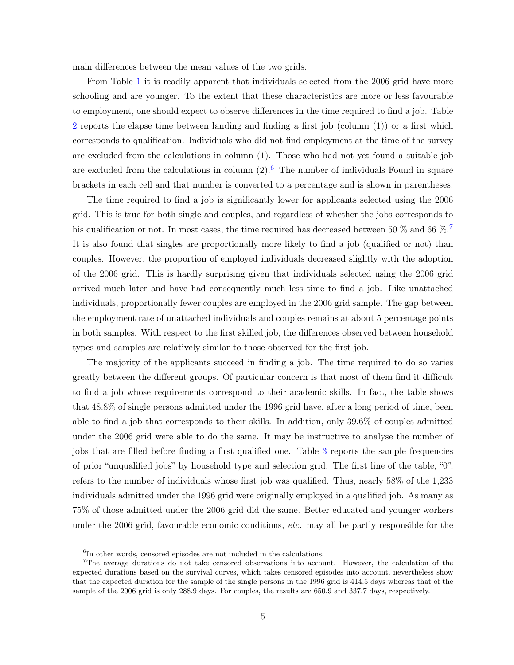main differences between the mean values of the two grids.

From Table [1](#page-6-0) it is readily apparent that individuals selected from the 2006 grid have more schooling and are younger. To the extent that these characteristics are more or less favourable to employment, one should expect to observe differences in the time required to find a job. Table [2](#page-8-0) reports the elapse time between landing and finding a first job (column (1)) or a first which corresponds to qualification. Individuals who did not find employment at the time of the survey are excluded from the calculations in column (1). Those who had not yet found a suitable job are excluded from the calculations in column  $(2)$ .<sup>[6](#page-7-0)</sup> The number of individuals Found in square brackets in each cell and that number is converted to a percentage and is shown in parentheses.

The time required to find a job is significantly lower for applicants selected using the 2006 grid. This is true for both single and couples, and regardless of whether the jobs corresponds to his qualification or not. In most cases, the time required has decreased between 50 % and 66 %. It is also found that singles are proportionally more likely to find a job (qualified or not) than couples. However, the proportion of employed individuals decreased slightly with the adoption of the 2006 grid. This is hardly surprising given that individuals selected using the 2006 grid arrived much later and have had consequently much less time to find a job. Like unattached individuals, proportionally fewer couples are employed in the 2006 grid sample. The gap between the employment rate of unattached individuals and couples remains at about 5 percentage points in both samples. With respect to the first skilled job, the differences observed between household types and samples are relatively similar to those observed for the first job.

The majority of the applicants succeed in finding a job. The time required to do so varies greatly between the different groups. Of particular concern is that most of them find it difficult to find a job whose requirements correspond to their academic skills. In fact, the table shows that 48.8% of single persons admitted under the 1996 grid have, after a long period of time, been able to find a job that corresponds to their skills. In addition, only 39.6% of couples admitted under the 2006 grid were able to do the same. It may be instructive to analyse the number of jobs that are filled before finding a first qualified one. Table [3](#page-8-1) reports the sample frequencies of prior "unqualified jobs" by household type and selection grid. The first line of the table, "0", refers to the number of individuals whose first job was qualified. Thus, nearly 58% of the 1,233 individuals admitted under the 1996 grid were originally employed in a qualified job. As many as 75% of those admitted under the 2006 grid did the same. Better educated and younger workers under the 2006 grid, favourable economic conditions, *etc.* may all be partly responsible for the

<span id="page-7-1"></span><span id="page-7-0"></span><sup>&</sup>lt;sup>6</sup>In other words, censored episodes are not included in the calculations.

<sup>7</sup>The average durations do not take censored observations into account. However, the calculation of the expected durations based on the survival curves, which takes censored episodes into account, nevertheless show that the expected duration for the sample of the single persons in the 1996 grid is 414.5 days whereas that of the sample of the 2006 grid is only 288.9 days. For couples, the results are 650.9 and 337.7 days, respectively.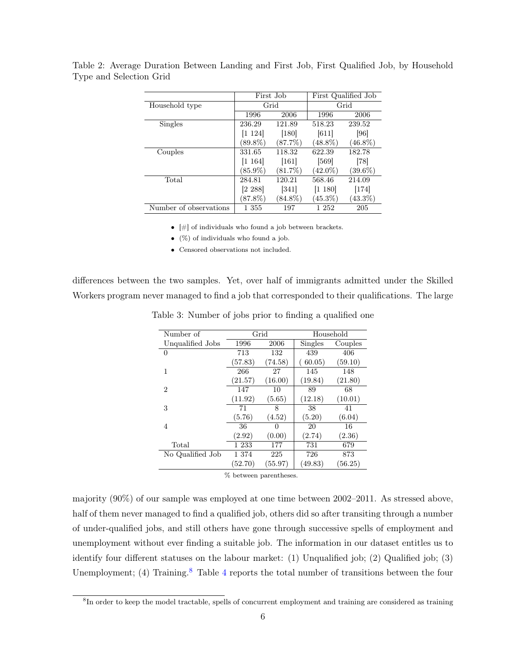| First Job              |            |                    |                     |            |  |  |  |
|------------------------|------------|--------------------|---------------------|------------|--|--|--|
|                        |            |                    | First Qualified Job |            |  |  |  |
| Household type         |            | Grid               | Grid                |            |  |  |  |
|                        | 1996       | 2006               | 1996                | 2006       |  |  |  |
| Singles                | 236.29     | 121.89             | 518.23              | 239.52     |  |  |  |
|                        | [1 124]    | [180]              | [611]               | [96]       |  |  |  |
|                        | $(89.8\%)$ | $(87.7\%)$         | $(48.8\%)$          | $(46.8\%)$ |  |  |  |
| Couples                | 331.65     | 118.32             | 622.39              | 182.78     |  |  |  |
|                        | [1 164]    | [161]              | [569]               | [78]       |  |  |  |
|                        | $(85.9\%)$ | $(81.7\%)$         | $(42.0\%)$          | $(39.6\%)$ |  |  |  |
| Total                  | 284.81     | 120.21             | 568.46              | 214.09     |  |  |  |
|                        | [2 288]    | $\left[341\right]$ | [1 180]             | $[174]$    |  |  |  |
|                        | $(87.8\%)$ | $(84.8\%)$         | $(45.3\%)$          | $(43.3\%)$ |  |  |  |
| Number of observations | 1 355      | 197                | 1 252               | 205        |  |  |  |

<span id="page-8-0"></span>Table 2: Average Duration Between Landing and First Job, First Qualified Job, by Household Type and Selection Grid

• [#] of individuals who found a job between brackets.

• (%) of individuals who found a job.

• Censored observations not included.

<span id="page-8-1"></span>differences between the two samples. Yet, over half of immigrants admitted under the Skilled Workers program never managed to find a job that corresponded to their qualifications. The large

| Number of        | Grid     |              |         | Household |
|------------------|----------|--------------|---------|-----------|
| Unqualified Jobs | 1996     | 2006         | Singles | Couples   |
| 0                | 713      | 132          | 439     | 406       |
|                  | (57.83)  | (74.58)      | 60.05)  | (59.10)   |
| 1                | 266      | 27           | 145     | 148       |
|                  | (21.57)  | (16.00)      | (19.84) | (21.80)   |
| 2                | 147      | 10           | 89      | 68        |
|                  | (11.92)  | (5.65)       | (12.18) | (10.01)   |
| 3                | 71       | 8            | 38      | 41        |
|                  | (5.76)   | (4.52)       | (5.20)  | (6.04)    |
| $\overline{4}$   | 36       | $\mathbf{0}$ | 20      | 16        |
|                  | (2.92)   | (0.00)       | (2.74)  | (2.36)    |
| Total            | $1\;233$ | 177          | 731     | 679       |
| No Qualified Job | 1 374    | 225          | 726     | 873       |
|                  | (52.70)  | (55.97)      | (49.83) | (56.25)   |

Table 3: Number of jobs prior to finding a qualified one

% between parentheses.

majority (90%) of our sample was employed at one time between 2002–2011. As stressed above, half of them never managed to find a qualified job, others did so after transiting through a number of under-qualified jobs, and still others have gone through successive spells of employment and unemployment without ever finding a suitable job. The information in our dataset entitles us to identify four different statuses on the labour market: (1) Unqualified job; (2) Qualified job; (3) Unemployment; (4) Training.<sup>[8](#page-8-2)</sup> Table [4](#page-9-0) reports the total number of transitions between the four

<span id="page-8-2"></span><sup>&</sup>lt;sup>8</sup>In order to keep the model tractable, spells of concurrent employment and training are considered as training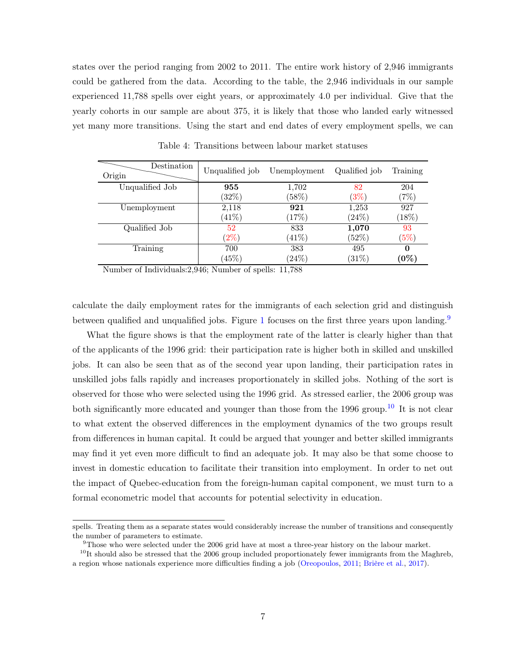<span id="page-9-3"></span>states over the period ranging from 2002 to 2011. The entire work history of 2,946 immigrants could be gathered from the data. According to the table, the 2,946 individuals in our sample experienced 11,788 spells over eight years, or approximately 4.0 per individual. Give that the yearly cohorts in our sample are about 375, it is likely that those who landed early witnessed yet many more transitions. Using the start and end dates of every employment spells, we can

| Destination<br>Origin | Unqualified job | Unemployment | Qualified job | Training           |
|-----------------------|-----------------|--------------|---------------|--------------------|
| Unqualified Job       | 955             | 1,702        | 82            | 204                |
|                       | (32%)           | (58%)        | $(3\%)$       | (7%)               |
| Unemployment          | 2,118           | 921          | 1,253         | 927                |
|                       | (41%)           | (17%)        | (24%)         | (18%)              |
| Qualified Job         | 52              | 833          | 1,070         | 93                 |
|                       | $(2\%)$         | (41%)        | (52%)         | (5%)               |
| Training              | 700             | 383          | 495           | 0                  |
|                       | (45%)           | (24%)        | (31%)         | $\left[0\%\right]$ |

Table 4: Transitions between labour market statuses

Number of Individuals:2,946; Number of spells: 11,788

<span id="page-9-0"></span> $\overline{a}$ 

calculate the daily employment rates for the immigrants of each selection grid and distinguish between qualified and unqualified jobs. Figure [1](#page-10-0) focuses on the first three years upon landing.<sup>[9](#page-9-1)</sup>

What the figure shows is that the employment rate of the latter is clearly higher than that of the applicants of the 1996 grid: their participation rate is higher both in skilled and unskilled jobs. It can also be seen that as of the second year upon landing, their participation rates in unskilled jobs falls rapidly and increases proportionately in skilled jobs. Nothing of the sort is observed for those who were selected using the 1996 grid. As stressed earlier, the 2006 group was both significantly more educated and younger than those from the 1996 group.<sup>[10](#page-9-2)</sup> It is not clear to what extent the observed differences in the employment dynamics of the two groups result from differences in human capital. It could be argued that younger and better skilled immigrants may find it yet even more difficult to find an adequate job. It may also be that some choose to invest in domestic education to facilitate their transition into employment. In order to net out the impact of Quebec-education from the foreign-human capital component, we must turn to a formal econometric model that accounts for potential selectivity in education.

spells. Treating them as a separate states would considerably increase the number of transitions and consequently the number of parameters to estimate.

<span id="page-9-2"></span><span id="page-9-1"></span><sup>9</sup>Those who were selected under the 2006 grid have at most a three-year history on the labour market.

 $^{10}$ It should also be stressed that the 2006 group included proportionately fewer immigrants from the Maghreb, a region whose nationals experience more difficulties finding a job [\(Oreopoulos,](#page-29-3) [2011;](#page-29-3) [Brière et al.,](#page-27-7) [2017\)](#page-27-7).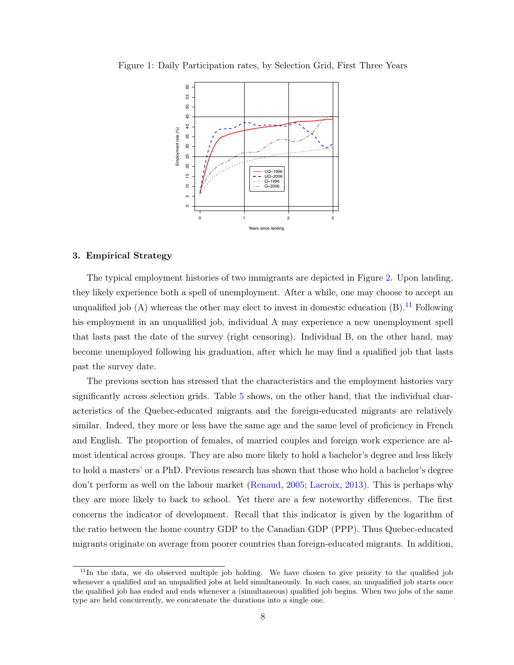

<span id="page-10-2"></span><span id="page-10-0"></span>Figure 1: Daily Participation rates, by Selection Grid, First Three Years

#### 3. Empirical Strategy

The typical employment histories of two immigrants are depicted in Figure [2.](#page-11-0) Upon landing, they likely experience both a spell of unemployment. After a while, one may choose to accept an unqualified job (A) whereas the other may elect to invest in domestic education  $(B)$ .<sup>[11](#page-10-1)</sup> Following his employment in an unqualified job, individual A may experience a new unemployment spell that lasts past the date of the survey (right censoring). Individual B, on the other hand, may become unemployed following his graduation, after which he may find a qualified job that lasts past the survey date.

The previous section has stressed that the characteristics and the employment histories vary significantly across selection grids. Table [5](#page-12-1) shows, on the other hand, that the individual characteristics of the Quebec-educated migrants and the foreign-educated migrants are relatively similar. Indeed, they more or less have the same age and the same level of proficiency in French and English. The proportion of females, of married couples and foreign work experience are almost identical across groups. They are also more likely to hold a bachelor's degree and less likely to hold a masters' or a PhD. Previous research has shown that those who hold a bachelor's degree don't perform as well on the labour market [\(Renaud,](#page-29-4) [2005;](#page-29-4) [Lacroix,](#page-29-1) [2013\)](#page-29-1). This is perhaps why they are more likely to back to school. Yet there are a few noteworthy differences. The first concerns the indicator of development. Recall that this indicator is given by the logarithm of the ratio between the home country GDP to the Canadian GDP (PPP). Thus Quebec-educated migrants originate on average from poorer countries than foreign-educated migrants. In addition,

<span id="page-10-1"></span><sup>&</sup>lt;sup>11</sup>In the data, we do observed multiple job holding. We have chosen to give priority to the qualified job whenever a qualified and an unqualified jobs at held simultaneously. In such cases, an unqualified job starts once the qualified job has ended and ends whenever a (simultaneous) qualified job begins. When two jobs of the same type are held concurrently, we concatenate the durations into a single one.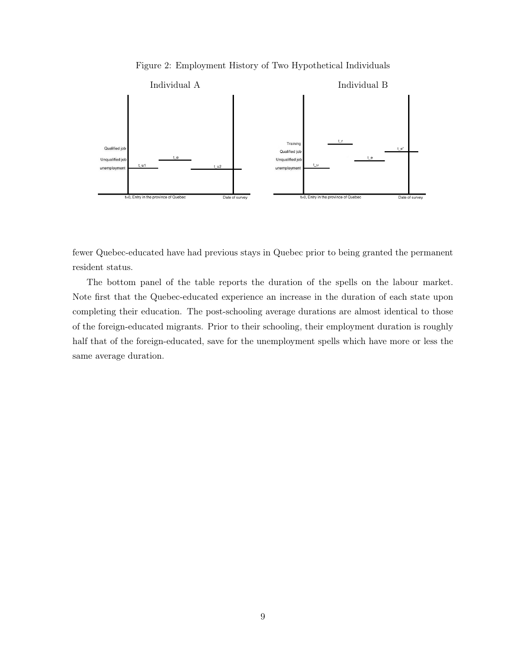Figure 2: Employment History of Two Hypothetical Individuals

<span id="page-11-0"></span>

fewer Quebec-educated have had previous stays in Quebec prior to being granted the permanent resident status.

The bottom panel of the table reports the duration of the spells on the labour market. Note first that the Quebec-educated experience an increase in the duration of each state upon completing their education. The post-schooling average durations are almost identical to those of the foreign-educated migrants. Prior to their schooling, their employment duration is roughly half that of the foreign-educated, save for the unemployment spells which have more or less the same average duration.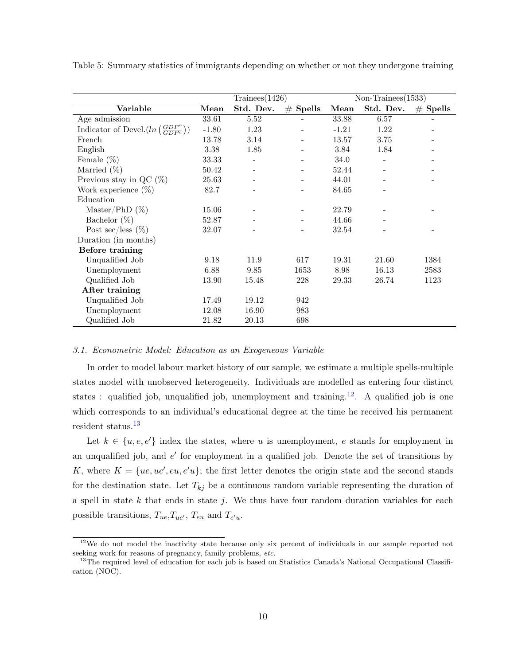|                                                            | Traines (1426)       |                          |                    | Non-Trainees $(1533)$ |           |            |
|------------------------------------------------------------|----------------------|--------------------------|--------------------|-----------------------|-----------|------------|
| Variable                                                   | $\bm{\mathrm{Mean}}$ | Std. Dev.                | <b>Spells</b><br># | Mean                  | Std. Dev. | $#$ Spells |
| Age admission                                              | 33.61                | 5.52                     |                    | 33.88                 | 6.57      |            |
| Indicator of Devel. $(ln\left(\frac{GDP^o}{GDP^c}\right))$ | $-1.80$              | 1.23                     |                    | $-1.21$               | 1.22      |            |
| French                                                     | 13.78                | 3.14                     |                    | 13.57                 | 3.75      |            |
| English                                                    | 3.38                 | 1.85                     |                    | 3.84                  | 1.84      |            |
| Female $(\%)$                                              | 33.33                | $\overline{\phantom{a}}$ |                    | 34.0                  |           |            |
| Married $(\%)$                                             | 50.42                |                          |                    | 52.44                 |           |            |
| Previous stay in QC $(\%)$                                 | 25.63                |                          |                    | 44.01                 |           |            |
| Work experience $(\%)$                                     | 82.7                 |                          |                    | 84.65                 |           |            |
| Education                                                  |                      |                          |                    |                       |           |            |
| Master/PhD $(\%)$                                          | 15.06                |                          |                    | 22.79                 |           |            |
| Bachelor $(\%)$                                            | 52.87                |                          |                    | 44.66                 |           |            |
| Post sec/less $(\%)$                                       | 32.07                |                          |                    | 32.54                 |           |            |
| Duration (in months)                                       |                      |                          |                    |                       |           |            |
| <b>Before training</b>                                     |                      |                          |                    |                       |           |            |
| Unqualified Job                                            | 9.18                 | 11.9                     | 617                | 19.31                 | 21.60     | 1384       |
| Unemployment                                               | 6.88                 | 9.85                     | 1653               | 8.98                  | 16.13     | 2583       |
| Qualified Job                                              | 13.90                | 15.48                    | 228                | 29.33                 | 26.74     | 1123       |
| After training                                             |                      |                          |                    |                       |           |            |
| Unqualified Job                                            | 17.49                | 19.12                    | 942                |                       |           |            |
| Unemployment                                               | 12.08                | 16.90                    | 983                |                       |           |            |
| Qualified Job                                              | 21.82                | 20.13                    | 698                |                       |           |            |

<span id="page-12-1"></span>Table 5: Summary statistics of immigrants depending on whether or not they undergone training

#### <span id="page-12-0"></span>3.1. Econometric Model: Education as an Exogeneous Variable

In order to model labour market history of our sample, we estimate a multiple spells-multiple states model with unobserved heterogeneity. Individuals are modelled as entering four distinct states : qualified job, unqualified job, unemployment and training.<sup>[12](#page-12-2)</sup>. A qualified job is one which corresponds to an individual's educational degree at the time he received his permanent resident status.<sup>[13](#page-12-3)</sup>

Let  $k \in \{u, e, e'\}$  index the states, where u is unemployment, e stands for employment in an unqualified job, and  $e'$  for employment in a qualified job. Denote the set of transitions by K, where  $K = \{ue, ue', eu, e'u\}$ ; the first letter denotes the origin state and the second stands for the destination state. Let  $T_{kj}$  be a continuous random variable representing the duration of a spell in state k that ends in state j. We thus have four random duration variables for each possible transitions,  $T_{ue}, T_{ue'}$ ,  $T_{eu}$  and  $T_{e'u}$ .

<span id="page-12-2"></span><sup>&</sup>lt;sup>12</sup>We do not model the inactivity state because only six percent of individuals in our sample reported not seeking work for reasons of pregnancy, family problems, etc.

<span id="page-12-3"></span><sup>&</sup>lt;sup>13</sup>The required level of education for each job is based on Statistics Canada's National Occupational Classification (NOC).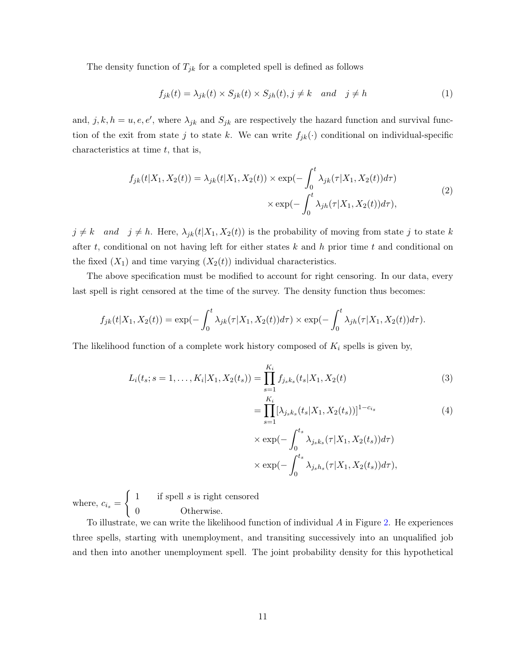The density function of  $T_{jk}$  for a completed spell is defined as follows

$$
f_{jk}(t) = \lambda_{jk}(t) \times S_{jk}(t) \times S_{jh}(t), j \neq k \quad and \quad j \neq h
$$
 (1)

and, j, k, h = u, e, e', where  $\lambda_{jk}$  and  $S_{jk}$  are respectively the hazard function and survival function of the exit from state j to state k. We can write  $f_{jk}(\cdot)$  conditional on individual-specific characteristics at time  $t$ , that is,

$$
f_{jk}(t|X_1, X_2(t)) = \lambda_{jk}(t|X_1, X_2(t)) \times \exp(-\int_0^t \lambda_{jk}(\tau|X_1, X_2(t))d\tau)
$$
  
 
$$
\times \exp(-\int_0^t \lambda_{jh}(\tau|X_1, X_2(t))d\tau),
$$
 (2)

 $j \neq k$  and  $j \neq h$ . Here,  $\lambda_{jk}(t|X_1, X_2(t))$  is the probability of moving from state j to state k after t, conditional on not having left for either states  $k$  and  $h$  prior time  $t$  and conditional on the fixed  $(X_1)$  and time varying  $(X_2(t))$  individual characteristics.

The above specification must be modified to account for right censoring. In our data, every last spell is right censored at the time of the survey. The density function thus becomes:

$$
f_{jk}(t|X_1, X_2(t)) = \exp(-\int_0^t \lambda_{jk}(\tau|X_1, X_2(t))d\tau) \times \exp(-\int_0^t \lambda_{jh}(\tau|X_1, X_2(t))d\tau).
$$

The likelihood function of a complete work history composed of  $K_i$  spells is given by,

$$
L_i(t_s; s = 1, \dots, K_i | X_1, X_2(t_s)) = \prod_{s=1}^{K_i} f_{j_s k_s}(t_s | X_1, X_2(t))
$$
\n(3)

<span id="page-13-0"></span>
$$
= \prod_{s=1}^{K_i} [\lambda_{j_s k_s}(t_s|X_1, X_2(t_s))]^{1-c_{i_s}}
$$
\n(4)

$$
\times \exp(-\int_0^{t_s} \lambda_{j_s k_s}(\tau | X_1, X_2(t_s)) d\tau)
$$

$$
\times \exp(-\int_0^{t_s} \lambda_{j_s h_s}(\tau | X_1, X_2(t_s)) d\tau),
$$

where,  $c_{i_s} =$  $\int$ 1 if spell  $s$  is right censored 0 Otherwise.

To illustrate, we can write the likelihood function of individual A in Figure [2.](#page-11-0) He experiences three spells, starting with unemployment, and transiting successively into an unqualified job and then into another unemployment spell. The joint probability density for this hypothetical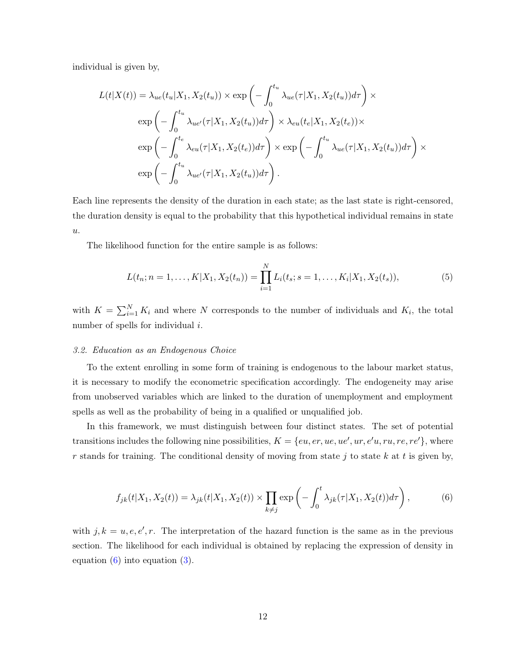individual is given by,

$$
L(t|X(t)) = \lambda_{ue}(t_u|X_1, X_2(t_u)) \times \exp\left(-\int_0^{t_u} \lambda_{ue}(\tau|X_1, X_2(t_u))d\tau\right) \times
$$

$$
\exp\left(-\int_0^{t_u} \lambda_{ue'}(\tau|X_1, X_2(t_u))d\tau\right) \times \lambda_{eu}(t_e|X_1, X_2(t_e)) \times
$$

$$
\exp\left(-\int_0^{t_e} \lambda_{eu}(\tau|X_1, X_2(t_e))d\tau\right) \times \exp\left(-\int_0^{t_u} \lambda_{ue}(\tau|X_1, X_2(t_u))d\tau\right) \times
$$

$$
\exp\left(-\int_0^{t_u} \lambda_{ue'}(\tau|X_1, X_2(t_u))d\tau\right).
$$

Each line represents the density of the duration in each state; as the last state is right-censored, the duration density is equal to the probability that this hypothetical individual remains in state  $u$ .

The likelihood function for the entire sample is as follows:

$$
L(t_n; n = 1, \dots, K | X_1, X_2(t_n)) = \prod_{i=1}^N L_i(t_s; s = 1, \dots, K_i | X_1, X_2(t_s)),
$$
\n<sup>(5)</sup>

with  $K = \sum_{i=1}^{N} K_i$  and where N corresponds to the number of individuals and  $K_i$ , the total number of spells for individual i.

#### 3.2. Education as an Endogenous Choice

To the extent enrolling in some form of training is endogenous to the labour market status, it is necessary to modify the econometric specification accordingly. The endogeneity may arise from unobserved variables which are linked to the duration of unemployment and employment spells as well as the probability of being in a qualified or unqualified job.

In this framework, we must distinguish between four distinct states. The set of potential transitions includes the following nine possibilities,  $K = \{eu, er, ue, ue', ur, e'u, ru, re, re'\},$  where r stands for training. The conditional density of moving from state j to state  $k$  at  $t$  is given by,

<span id="page-14-0"></span>
$$
f_{jk}(t|X_1, X_2(t)) = \lambda_{jk}(t|X_1, X_2(t)) \times \prod_{k \neq j} \exp\left(-\int_0^t \lambda_{jk}(\tau|X_1, X_2(t))d\tau\right),\tag{6}
$$

with  $j, k = u, e, e', r$ . The interpretation of the hazard function is the same as in the previous section. The likelihood for each individual is obtained by replacing the expression of density in equation  $(6)$  into equation  $(3)$ .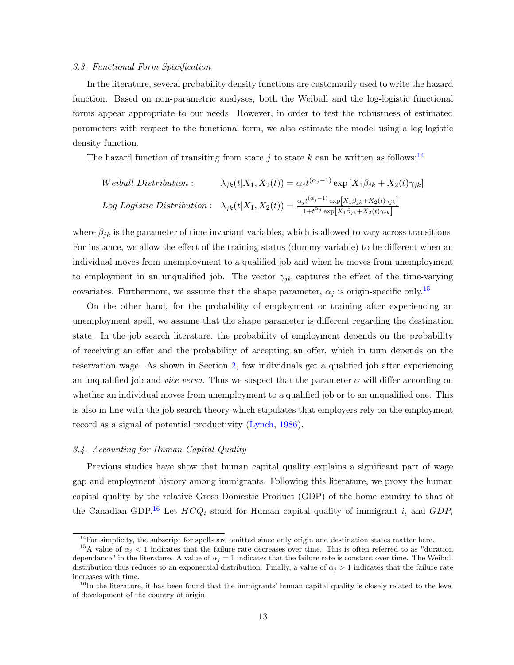#### <span id="page-15-4"></span><span id="page-15-0"></span>3.3. Functional Form Specification

In the literature, several probability density functions are customarily used to write the hazard function. Based on non-parametric analyses, both the Weibull and the log-logistic functional forms appear appropriate to our needs. However, in order to test the robustness of estimated parameters with respect to the functional form, we also estimate the model using a log-logistic density function.

The hazard function of transiting from state j to state k can be written as follows:<sup>[14](#page-15-1)</sup>

Weibull Distribution : 
$$
\lambda_{jk}(t|X_1, X_2(t)) = \alpha_j t^{(\alpha_j - 1)} \exp\left[X_1 \beta_{jk} + X_2(t)\gamma_{jk}\right]
$$
  
Log Logistic Distribution : 
$$
\lambda_{jk}(t|X_1, X_2(t)) = \frac{\alpha_j t^{(\alpha_j - 1)} \exp\left[X_1 \beta_{jk} + X_2(t)\gamma_{jk}\right]}{1 + t^{\alpha_j} \exp\left[X_1 \beta_{jk} + X_2(t)\gamma_{jk}\right]}
$$

where  $\beta_{ik}$  is the parameter of time invariant variables, which is allowed to vary across transitions. For instance, we allow the effect of the training status (dummy variable) to be different when an individual moves from unemployment to a qualified job and when he moves from unemployment to employment in an unqualified job. The vector  $\gamma_{ik}$  captures the effect of the time-varying covariates. Furthermore, we assume that the shape parameter,  $\alpha_j$  is origin-specific only.<sup>[15](#page-15-2)</sup>

On the other hand, for the probability of employment or training after experiencing an unemployment spell, we assume that the shape parameter is different regarding the destination state. In the job search literature, the probability of employment depends on the probability of receiving an offer and the probability of accepting an offer, which in turn depends on the reservation wage. As shown in Section [2,](#page-5-0) few individuals get a qualified job after experiencing an unqualified job and *vice versa*. Thus we suspect that the parameter  $\alpha$  will differ according on whether an individual moves from unemployment to a qualified job or to an unqualified one. This is also in line with the job search theory which stipulates that employers rely on the employment record as a signal of potential productivity [\(Lynch,](#page-29-5) [1986\)](#page-29-5).

#### 3.4. Accounting for Human Capital Quality

Previous studies have show that human capital quality explains a significant part of wage gap and employment history among immigrants. Following this literature, we proxy the human capital quality by the relative Gross Domestic Product (GDP) of the home country to that of the Canadian GDP.<sup>[16](#page-15-3)</sup> Let  $HCQ_i$  stand for Human capital quality of immigrant i, and  $GDP_i$ 

<span id="page-15-2"></span><span id="page-15-1"></span> $14$ For simplicity, the subscript for spells are omitted since only origin and destination states matter here.

<sup>&</sup>lt;sup>15</sup>A value of  $\alpha_j < 1$  indicates that the failure rate decreases over time. This is often referred to as "duration dependance" in the literature. A value of  $\alpha_i = 1$  indicates that the failure rate is constant over time. The Weibull distribution thus reduces to an exponential distribution. Finally, a value of  $\alpha_j > 1$  indicates that the failure rate increases with time.

<span id="page-15-3"></span> $16$ In the literature, it has been found that the immigrants' human capital quality is closely related to the level of development of the country of origin.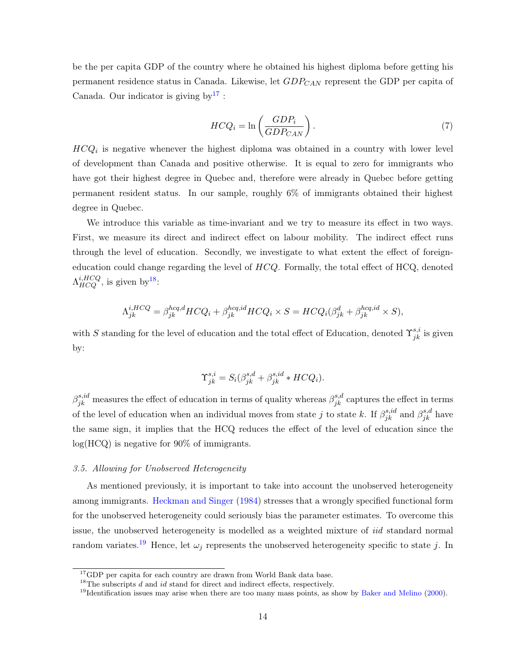<span id="page-16-3"></span>be the per capita GDP of the country where he obtained his highest diploma before getting his permanent residence status in Canada. Likewise, let  $GDP_{CAN}$  represent the GDP per capita of Canada. Our indicator is giving  $by<sup>17</sup>$  $by<sup>17</sup>$  $by<sup>17</sup>$ :

$$
H C Q_i = \ln \left( \frac{G D P_i}{G D P_{CAN}} \right). \tag{7}
$$

 $HCQ_i$  is negative whenever the highest diploma was obtained in a country with lower level of development than Canada and positive otherwise. It is equal to zero for immigrants who have got their highest degree in Quebec and, therefore were already in Quebec before getting permanent resident status. In our sample, roughly 6% of immigrants obtained their highest degree in Quebec.

We introduce this variable as time-invariant and we try to measure its effect in two ways. First, we measure its direct and indirect effect on labour mobility. The indirect effect runs through the level of education. Secondly, we investigate to what extent the effect of foreigneducation could change regarding the level of  $HCQ$ . Formally, the total effect of HCQ, denoted  $\Lambda_{H CQ}^{i,HCQ}$ , is given by <sup>[18](#page-16-1)</sup>:

$$
\Lambda^{i,HCQ}_{jk} = \beta^{hcq,d}_{jk} H C Q_i + \beta^{hcq,id}_{jk} H C Q_i \times S = H C Q_i (\beta^d_{jk} + \beta^{hcq,id}_{jk} \times S),
$$

with S standing for the level of education and the total effect of Education, denoted  $\Upsilon^{s,i}_{jk}$  is given by:

$$
\Upsilon_{jk}^{s,i} = S_i(\beta_{jk}^{s,d} + \beta_{jk}^{s,id} * H C Q_i).
$$

 $\beta_{jk}^{s,id}$  measures the effect of education in terms of quality whereas  $\beta_{jk}^{s,d}$  captures the effect in terms of the level of education when an individual moves from state j to state k. If  $\beta_{jk}^{s,d}$  and  $\beta_{jk}^{s,d}$  have the same sign, it implies that the HCQ reduces the effect of the level of education since the log(HCQ) is negative for 90% of immigrants.

#### <span id="page-16-4"></span>3.5. Allowing for Unobserved Heterogeneity

As mentioned previously, it is important to take into account the unobserved heterogeneity among immigrants. [Heckman and Singer](#page-28-4) [\(1984\)](#page-28-4) stresses that a wrongly specified functional form for the unobserved heterogeneity could seriously bias the parameter estimates. To overcome this issue, the unobserved heterogeneity is modelled as a weighted mixture of iid standard normal random variates.<sup>[19](#page-16-2)</sup> Hence, let  $\omega_j$  represents the unobserved heterogeneity specific to state j. In

<span id="page-16-0"></span> $17$ GDP per capita for each country are drawn from World Bank data base.

<span id="page-16-1"></span> $^{18}$ The subscripts  $d$  and  $id$  stand for direct and indirect effects, respectively.

<span id="page-16-2"></span> $19$ Identification issues may arise when there are too many mass points, as show by [Baker and Melino](#page-27-8) [\(2000\)](#page-27-8).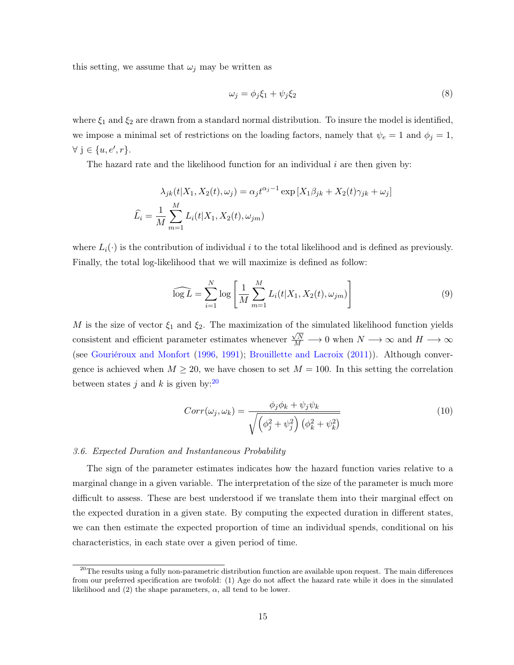<span id="page-17-3"></span>this setting, we assume that  $\omega_i$  may be written as

<span id="page-17-1"></span>
$$
\omega_j = \phi_j \xi_1 + \psi_j \xi_2 \tag{8}
$$

where  $\xi_1$  and  $\xi_2$  are drawn from a standard normal distribution. To insure the model is identified, we impose a minimal set of restrictions on the loading factors, namely that  $\psi_e = 1$  and  $\phi_j = 1$ ,  $\forall j \in \{u, e', r\}.$ 

The hazard rate and the likelihood function for an individual  $i$  are then given by:

$$
\lambda_{jk}(t|X_1, X_2(t), \omega_j) = \alpha_j t^{\alpha_j - 1} \exp\left[X_1 \beta_{jk} + X_2(t)\gamma_{jk} + \omega_j\right]
$$

$$
\widehat{L}_i = \frac{1}{M} \sum_{m=1}^M L_i(t|X_1, X_2(t), \omega_{jm})
$$

where  $L_i(\cdot)$  is the contribution of individual i to the total likelihood and is defined as previously. Finally, the total log-likelihood that we will maximize is defined as follow:

$$
\widehat{\log L} = \sum_{i=1}^{N} \log \left[ \frac{1}{M} \sum_{m=1}^{M} L_i(t|X_1, X_2(t), \omega_{jm}) \right]
$$
(9)

M is the size of vector  $\xi_1$  and  $\xi_2$ . The maximization of the simulated likelihood function yields consistent and efficient parameter estimates whenever  $\frac{\sqrt{N}}{M} \longrightarrow 0$  when  $N \longrightarrow \infty$  and  $H \longrightarrow \infty$ (see [Gouriéroux and Monfort](#page-28-5) [\(1996,](#page-28-5) [1991\)](#page-28-6); [Brouillette and Lacroix](#page-27-9) [\(2011\)](#page-27-9)). Although convergence is achieved when  $M \geq 20$ , we have chosen to set  $M = 100$ . In this setting the correlation between states j and k is given by:  $20$ 

<span id="page-17-2"></span>
$$
Corr(\omega_j, \omega_k) = \frac{\phi_j \phi_k + \psi_j \psi_k}{\sqrt{\left(\phi_j^2 + \psi_j^2\right) \left(\phi_k^2 + \psi_k^2\right)}}
$$
(10)

#### 3.6. Expected Duration and Instantaneous Probability

The sign of the parameter estimates indicates how the hazard function varies relative to a marginal change in a given variable. The interpretation of the size of the parameter is much more difficult to assess. These are best understood if we translate them into their marginal effect on the expected duration in a given state. By computing the expected duration in different states, we can then estimate the expected proportion of time an individual spends, conditional on his characteristics, in each state over a given period of time.

<span id="page-17-0"></span> $20$ The results using a fully non-parametric distribution function are available upon request. The main differences from our preferred specification are twofold: (1) Age do not affect the hazard rate while it does in the simulated likelihood and (2) the shape parameters,  $\alpha$ , all tend to be lower.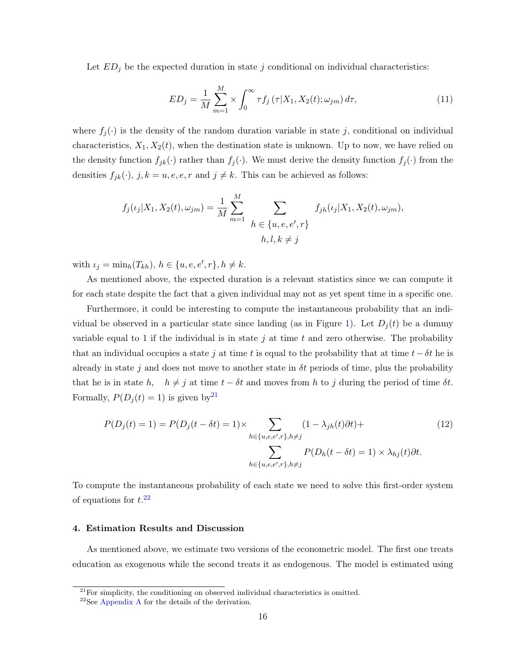Let  $ED_j$  be the expected duration in state j conditional on individual characteristics:

<span id="page-18-3"></span>
$$
ED_j = \frac{1}{M} \sum_{m=1}^{M} \times \int_0^{\infty} \tau f_j(\tau | X_1, X_2(t); \omega_{jm}) d\tau,
$$
\n(11)

where  $f_j(\cdot)$  is the density of the random duration variable in state j, conditional on individual characteristics,  $X_1, X_2(t)$ , when the destination state is unknown. Up to now, we have relied on the density function  $f_{jk}(\cdot)$  rather than  $f_j(\cdot)$ . We must derive the density function  $f_j(\cdot)$  from the densities  $f_{jk}(\cdot)$ ,  $j, k = u, e, e, r$  and  $j \neq k$ . This can be achieved as follows:

$$
f_j(\iota_j | X_1, X_2(t), \omega_{jm}) = \frac{1}{M} \sum_{m=1}^{M} \sum_{\begin{array}{c} h \in \{u, e, e', r\} \\ h, l, k \neq j \end{array}} f_{jh}(\iota_j | X_1, X_2(t), \omega_{jm}),
$$

with  $\iota_j = \min_h(T_{kh}), h \in \{u, e, e', r\}, h \neq k$ .

As mentioned above, the expected duration is a relevant statistics since we can compute it for each state despite the fact that a given individual may not as yet spent time in a specific one.

Furthermore, it could be interesting to compute the instantaneous probability that an indi-vidual be observed in a particular state since landing (as in Figure [1\)](#page-10-0). Let  $D_j(t)$  be a dummy variable equal to 1 if the individual is in state j at time t and zero otherwise. The probability that an individual occupies a state j at time t is equal to the probability that at time  $t-\delta t$  he is already in state j and does not move to another state in  $\delta t$  periods of time, plus the probability that he is in state h,  $h \neq j$  at time  $t - \delta t$  and moves from h to j during the period of time  $\delta t$ . Formally,  $P(D_i(t) = 1)$  is given by<sup>[21](#page-18-1)</sup>

<span id="page-18-4"></span>
$$
P(D_j(t) = 1) = P(D_j(t - \delta t) = 1) \times \sum_{h \in \{u, e, e', r\}, h \neq j} (1 - \lambda_{jh}(t)\partial t) + \sum_{h \in \{u, e, e', r\}, h \neq j} P(D_h(t - \delta t) = 1) \times \lambda_{hj}(t)\partial t.
$$
\n
$$
(12)
$$

To compute the instantaneous probability of each state we need to solve this first-order system of equations for  $t.^{22}$  $t.^{22}$  $t.^{22}$ 

#### <span id="page-18-0"></span>4. Estimation Results and Discussion

As mentioned above, we estimate two versions of the econometric model. The first one treats education as exogenous while the second treats it as endogenous. The model is estimated using

<span id="page-18-1"></span> $21$  For simplicity, the conditioning on observed individual characteristics is omitted.

<span id="page-18-2"></span> $22$ See [Appendix A](#page-30-0) for the details of the derivation.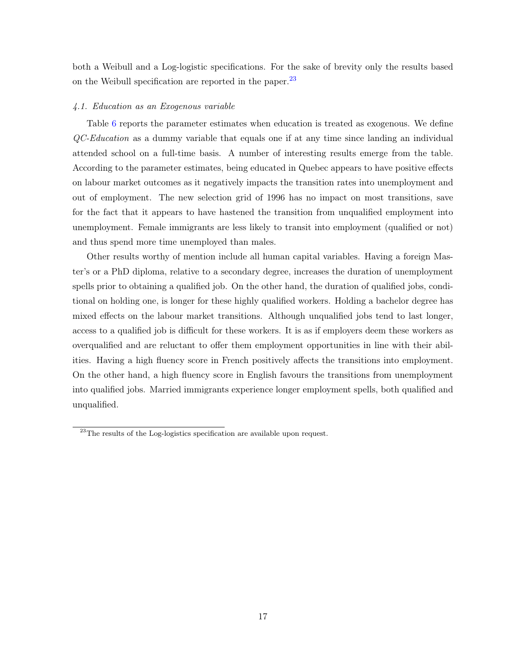both a Weibull and a Log-logistic specifications. For the sake of brevity only the results based on the Weibull specification are reported in the paper. $^{23}$  $^{23}$  $^{23}$ 

#### 4.1. Education as an Exogenous variable

Table [6](#page-20-0) reports the parameter estimates when education is treated as exogenous. We define QC-Education as a dummy variable that equals one if at any time since landing an individual attended school on a full-time basis. A number of interesting results emerge from the table. According to the parameter estimates, being educated in Quebec appears to have positive effects on labour market outcomes as it negatively impacts the transition rates into unemployment and out of employment. The new selection grid of 1996 has no impact on most transitions, save for the fact that it appears to have hastened the transition from unqualified employment into unemployment. Female immigrants are less likely to transit into employment (qualified or not) and thus spend more time unemployed than males.

Other results worthy of mention include all human capital variables. Having a foreign Master's or a PhD diploma, relative to a secondary degree, increases the duration of unemployment spells prior to obtaining a qualified job. On the other hand, the duration of qualified jobs, conditional on holding one, is longer for these highly qualified workers. Holding a bachelor degree has mixed effects on the labour market transitions. Although unqualified jobs tend to last longer, access to a qualified job is difficult for these workers. It is as if employers deem these workers as overqualified and are reluctant to offer them employment opportunities in line with their abilities. Having a high fluency score in French positively affects the transitions into employment. On the other hand, a high fluency score in English favours the transitions from unemployment into qualified jobs. Married immigrants experience longer employment spells, both qualified and unqualified.

<span id="page-19-0"></span><sup>&</sup>lt;sup>23</sup>The results of the Log-logistics specification are available upon request.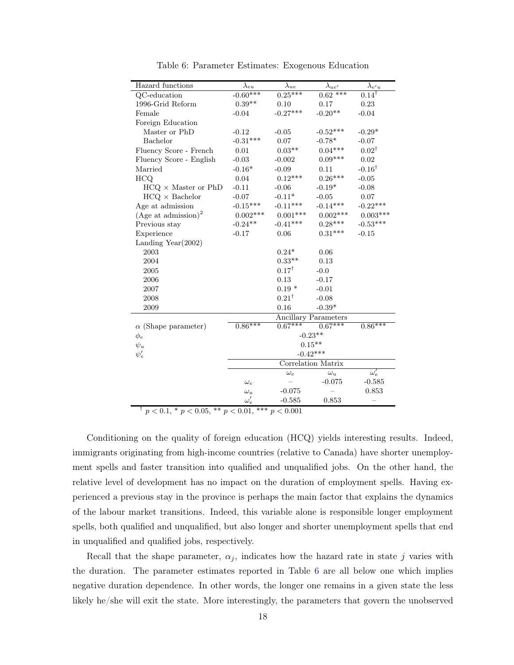<span id="page-20-0"></span>

| Hazard functions                | $\lambda_{eu}$     | $\lambda_{ue}$   | $\lambda_{ue'}$      | $\lambda_{e'\underline{u}}$ |  |
|---------------------------------|--------------------|------------------|----------------------|-----------------------------|--|
| QC-education                    | $-0.60***$         | $0.25***$        | $0.62***$            | $0.14^{\dagger}$            |  |
| 1996-Grid Reform                | $0.39**$           | 0.10             | 0.17                 | 0.23                        |  |
| Female                          | $-0.04$            | $-0.27***$       | $-0.20**$            | $-0.04$                     |  |
| Foreign Education               |                    |                  |                      |                             |  |
| Master or PhD                   | $-0.12$            | $-0.05$          | $-0.52***$           | $-0.29*$                    |  |
| Bachelor                        | $-0.31***$         | 0.07             | $-0.78*$             | $-0.07$                     |  |
| Fluency Score - French          | 0.01               | $0.03**$         | $0.04***$            | $0.02^{\dagger}$            |  |
| Fluency Score - English         | $-0.03$            | $-0.002$         | $0.09***$            | $0.02\,$                    |  |
| Married                         | $-0.16*$           | $-0.09$          | 0.11                 | $-0.16^{\dagger}$           |  |
| <b>HCQ</b>                      | 0.04               | $0.12***$        | $0.26***$            | $-0.05$                     |  |
| $H C Q \times$ Master or PhD    | $-0.11$            | $-0.06$          | $-0.19*$             | $-0.08$                     |  |
| $H C Q \times B$ achelor        | $-0.07$            | $-0.11*$         | $-0.05$              | $0.07\,$                    |  |
| Age at admission                | $-0.15***$         | $-0.11***$       | $-0.14***$           | $-0.22***$                  |  |
| (Age at admission) <sup>2</sup> | $0.002***$         | $0.001***$       | $0.002***$           | $0.003***$                  |  |
| Previous stay                   | $-0.24**$          | $-0.41***$       | $0.28***$            | $-0.53***$                  |  |
| Experience                      | $-0.17$            | 0.06             | $0.31***$            | $-0.15$                     |  |
| Landing Year(2002)              |                    |                  |                      |                             |  |
| 2003                            |                    | $0.24*$          | 0.06                 |                             |  |
| 2004                            |                    | $0.33**$         | 0.13                 |                             |  |
| 2005                            |                    | $0.17^{\dagger}$ | $-0.0$               |                             |  |
| 2006                            |                    | 0.13             | $-0.17$              |                             |  |
| 2007                            |                    | $0.19*$          | $-0.01$              |                             |  |
| 2008                            |                    | $0.21^{\dagger}$ | $-0.08$              |                             |  |
| 2009                            |                    | 0.16             | $-0.39*$             |                             |  |
|                                 |                    |                  | Ancillary Parameters |                             |  |
| $\alpha$ (Shape parameter)      | $0.86***$          | $0.67***$        | $0.67***$            | $0.86***$                   |  |
| $\phi_e$                        |                    |                  | $-0.23**$            |                             |  |
| $\psi_u$                        |                    |                  | $0.15^{\ast\ast}$    |                             |  |
| $\psi_e'$                       | $-0.42***$         |                  |                      |                             |  |
|                                 | Correlation Matrix |                  |                      |                             |  |
|                                 |                    | $\omega_e$       | $\omega_u$           | $\omega_e'$                 |  |
|                                 | $\omega_e$         |                  | $-0.075$             | $-0.585$                    |  |
|                                 | $\omega_u$         | $-0.075$         |                      | 0.853                       |  |
|                                 | $\omega_e'$        | $-0.585$         | 0.853                |                             |  |

Table 6: Parameter Estimates: Exogenous Education

 $\frac{1}{p}$   $p$  < 0.1,  $\frac{*}{p}$   $<$  0.05,  $\frac{**}{p}$   $<$  0.01,  $\frac{***}{p}$   $<$  0.001

Conditioning on the quality of foreign education (HCQ) yields interesting results. Indeed, immigrants originating from high-income countries (relative to Canada) have shorter unemployment spells and faster transition into qualified and unqualified jobs. On the other hand, the relative level of development has no impact on the duration of employment spells. Having experienced a previous stay in the province is perhaps the main factor that explains the dynamics of the labour market transitions. Indeed, this variable alone is responsible longer employment spells, both qualified and unqualified, but also longer and shorter unemployment spells that end in unqualified and qualified jobs, respectively.

Recall that the shape parameter,  $\alpha_j$ , indicates how the hazard rate in state j varies with the duration. The parameter estimates reported in Table [6](#page-20-0) are all below one which implies negative duration dependence. In other words, the longer one remains in a given state the less likely he/she will exit the state. More interestingly, the parameters that govern the unobserved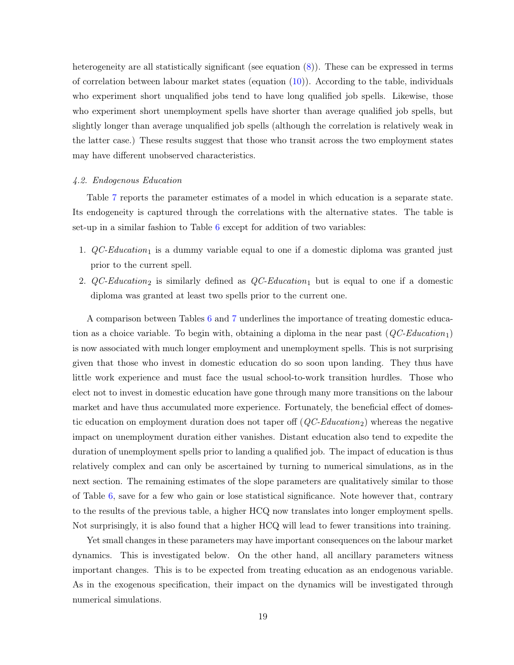heterogeneity are all statistically significant (see equation  $(8)$ ). These can be expressed in terms of correlation between labour market states (equation  $(10)$ ). According to the table, individuals who experiment short unqualified jobs tend to have long qualified job spells. Likewise, those who experiment short unemployment spells have shorter than average qualified job spells, but slightly longer than average unqualified job spells (although the correlation is relatively weak in the latter case.) These results suggest that those who transit across the two employment states may have different unobserved characteristics.

#### 4.2. Endogenous Education

Table [7](#page-23-0) reports the parameter estimates of a model in which education is a separate state. Its endogeneity is captured through the correlations with the alternative states. The table is set-up in a similar fashion to Table [6](#page-20-0) except for addition of two variables:

- 1.  $QC$ -Education<sub>1</sub> is a dummy variable equal to one if a domestic diploma was granted just prior to the current spell.
- 2. QC-Education<sub>2</sub> is similarly defined as QC-Education<sub>1</sub> but is equal to one if a domestic diploma was granted at least two spells prior to the current one.

A comparison between Tables [6](#page-20-0) and [7](#page-23-0) underlines the importance of treating domestic education as a choice variable. To begin with, obtaining a diploma in the near past  $(QC\text{-}Eduction_1)$ is now associated with much longer employment and unemployment spells. This is not surprising given that those who invest in domestic education do so soon upon landing. They thus have little work experience and must face the usual school-to-work transition hurdles. Those who elect not to invest in domestic education have gone through many more transitions on the labour market and have thus accumulated more experience. Fortunately, the beneficial effect of domestic education on employment duration does not taper off  $(QC\text{-}Education_2)$  whereas the negative impact on unemployment duration either vanishes. Distant education also tend to expedite the duration of unemployment spells prior to landing a qualified job. The impact of education is thus relatively complex and can only be ascertained by turning to numerical simulations, as in the next section. The remaining estimates of the slope parameters are qualitatively similar to those of Table [6,](#page-20-0) save for a few who gain or lose statistical significance. Note however that, contrary to the results of the previous table, a higher HCQ now translates into longer employment spells. Not surprisingly, it is also found that a higher HCQ will lead to fewer transitions into training.

Yet small changes in these parameters may have important consequences on the labour market dynamics. This is investigated below. On the other hand, all ancillary parameters witness important changes. This is to be expected from treating education as an endogenous variable. As in the exogenous specification, their impact on the dynamics will be investigated through numerical simulations.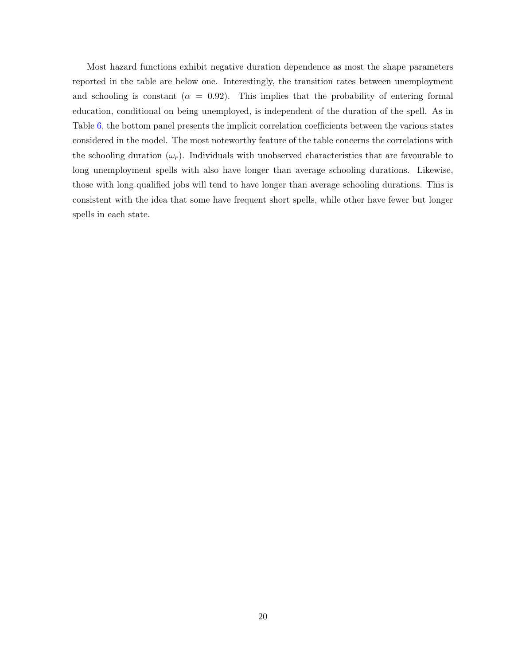Most hazard functions exhibit negative duration dependence as most the shape parameters reported in the table are below one. Interestingly, the transition rates between unemployment and schooling is constant ( $\alpha = 0.92$ ). This implies that the probability of entering formal education, conditional on being unemployed, is independent of the duration of the spell. As in Table [6,](#page-20-0) the bottom panel presents the implicit correlation coefficients between the various states considered in the model. The most noteworthy feature of the table concerns the correlations with the schooling duration  $(\omega_r)$ . Individuals with unobserved characteristics that are favourable to long unemployment spells with also have longer than average schooling durations. Likewise, those with long qualified jobs will tend to have longer than average schooling durations. This is consistent with the idea that some have frequent short spells, while other have fewer but longer spells in each state.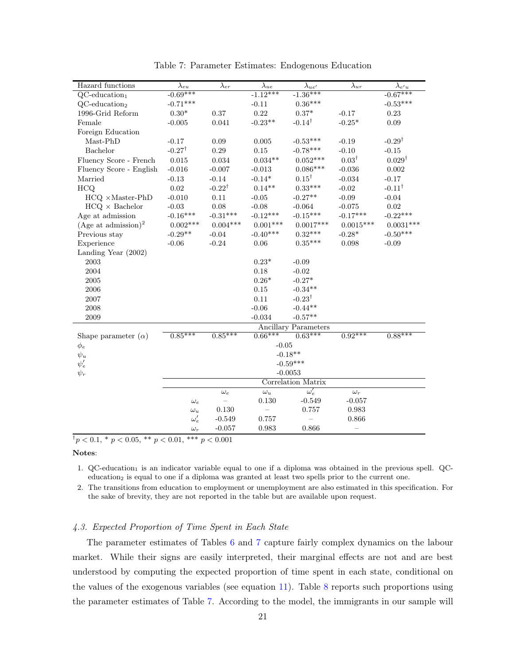<span id="page-23-0"></span>

| Hazard functions                        | $\lambda_{eu}$    | $\lambda_{er}$           | $\lambda_{ue}$ | $\lambda_{ue'}$             | $\lambda_{ur}$   | $\lambda_{e'u}$   |
|-----------------------------------------|-------------------|--------------------------|----------------|-----------------------------|------------------|-------------------|
| $QC$ -education <sub>1</sub>            | $-0.69***$        |                          | $-1.12***$     | $-1.36***$                  |                  | $-0.67***$        |
| $QC$ -education <sub>2</sub>            | $-0.71***$        |                          | $-0.11$        | $0.36***$                   |                  | $-0.53***$        |
| 1996-Grid Reform                        | $0.30^{\ast}$     | 0.37                     | 0.22           | $0.37*$                     | $-0.17$          | 0.23              |
| Female                                  | $-0.005$          | 0.041                    | $-0.23**$      | $-0.14^{\dagger}$           | $-0.25*$         | 0.09              |
| Foreign Education                       |                   |                          |                |                             |                  |                   |
| Mast-PhD                                | $-0.17$           | 0.09                     | 0.005          | $-0.53***$                  | $-0.19$          | $-0.29^{\dagger}$ |
| Bachelor                                | $-0.27^{\dagger}$ | 0.29                     | $0.15\,$       | $-0.78***$                  | $-0.10$          | $-0.15$           |
| Fluency Score - French                  | $\,0.015\,$       | 0.034                    | $0.034**$      | $0.052***$                  | $0.03^{\dagger}$ | $0.029^{\dagger}$ |
| Fluency Score - English                 | $-0.016$          | $-0.007$                 | $-0.013$       | $0.086***$                  | $-0.036$         | 0.002             |
| Married                                 | $-0.13$           | $-0.14$                  | $-0.14*$       | $0.15^\dagger$              | $-0.034$         | $-0.17$           |
| <b>HCQ</b>                              | 0.02              | $-0.22^{\dagger}$        | $0.14**$       | $0.33***$                   | $-0.02$          | $-0.11^{\dagger}$ |
| $\rm H CQ \times \rm Master\text{-}PhD$ | $-0.010$          | 0.11                     | $-0.05$        | $-0.27**$                   | $-0.09$          | $-0.04$           |
| $HCQ \times Bachelor$                   | $-0.03$           | 0.08                     | $-0.08$        | $-0.064$                    | $-0.075$         | $0.02\,$          |
| Age at admission                        | $-0.16***$        | $-0.31***$               | $-0.12***$     | $-0.15***$                  | $-0.17***$       | $-0.22***$        |
| (Age at admission) <sup>2</sup>         | $0.002***$        | $0.004***$               | $0.001***$     | $0.0017***$                 | $0.0015***$      | $0.0031***$       |
| Previous stay                           | $-0.29**$         | $-0.04$                  | $-0.40***$     | $0.32***$                   | $-0.28*$         | $-0.50***$        |
| Experience                              | $-0.06$           | $-0.24$                  | 0.06           | $0.35***$                   | 0.098            | $-0.09$           |
| Landing Year (2002)                     |                   |                          |                |                             |                  |                   |
| 2003                                    |                   |                          | $0.23*$        | $-0.09$                     |                  |                   |
| 2004                                    |                   |                          | 0.18           | $-0.02$                     |                  |                   |
| 2005                                    |                   |                          | $0.26^{\ast}$  | $-0.27*$                    |                  |                   |
| 2006                                    |                   |                          | 0.15           | $-0.34**$                   |                  |                   |
| 2007                                    |                   |                          | 0.11           | $-0.23^{\dagger}$           |                  |                   |
| 2008                                    |                   |                          | $-0.06$        | $-0.44**$                   |                  |                   |
| 2009                                    |                   |                          | $-0.034$       | $-0.57**$                   |                  |                   |
|                                         |                   |                          |                | <b>Ancillary Parameters</b> |                  |                   |
| Shape parameter $(\alpha)$              | $0.85***$         | $0.85***$                | $0.66***$      | $0.63***$                   | $0.92***$        | $0.88***$         |
| $\phi_e$                                |                   |                          | $-0.05$        |                             |                  |                   |
| $\psi_u$                                |                   |                          |                | $-0.18**$                   |                  |                   |
| $\psi_e'$                               |                   |                          |                | $-0.59***$                  |                  |                   |
| $\psi_r$                                |                   |                          |                | $-0.0053$                   |                  |                   |
|                                         |                   |                          |                | Correlation Matrix          |                  |                   |
|                                         |                   | $\omega_e$               | $\omega_u$     | $\omega_e'$                 | $\omega_r$       |                   |
|                                         | $\omega_e$        | $\overline{\phantom{0}}$ | 0.130          | $-0.549$                    | $-0.057$         |                   |
|                                         | $\omega_u$        | 0.130                    |                | 0.757                       | 0.983            |                   |
|                                         | $\omega_e'$       | $-0.549$                 | 0.757          |                             | 0.866            |                   |
|                                         | $\omega_r$        | $-0.057$                 | 0.983          | 0.866                       |                  |                   |

Table 7: Parameter Estimates: Endogenous Education

 $\forall p < 0.1, * p < 0.05, ** p < 0.01, ** p < 0.001$ 

Notes:

1.  $QC$ -education<sub>1</sub> is an indicator variable equal to one if a diploma was obtained in the previous spell.  $QC$ education<sub>2</sub> is equal to one if a diploma was granted at least two spells prior to the current one.

2. The transitions from education to employment or unemployment are also estimated in this specification. For the sake of brevity, they are not reported in the table but are available upon request.

# 4.3. Expected Proportion of Time Spent in Each State

The parameter estimates of Tables [6](#page-20-0) and [7](#page-23-0) capture fairly complex dynamics on the labour market. While their signs are easily interpreted, their marginal effects are not and are best understood by computing the expected proportion of time spent in each state, conditional on the values of the exogenous variables (see equation [11\)](#page-18-3). Table [8](#page-24-0) reports such proportions using the parameter estimates of Table [7.](#page-23-0) According to the model, the immigrants in our sample will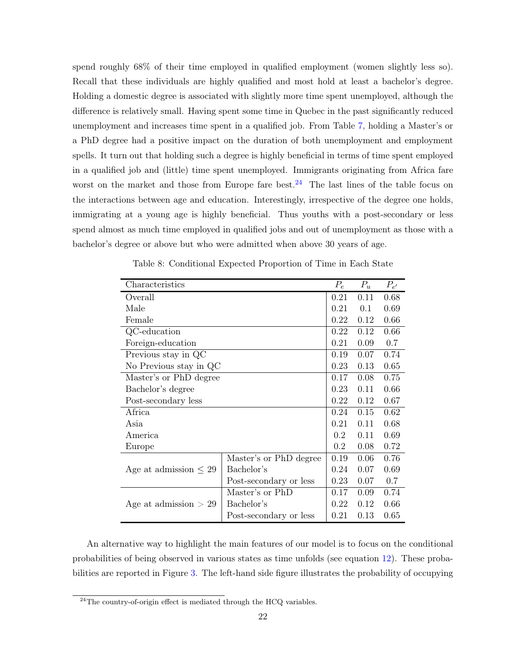spend roughly 68% of their time employed in qualified employment (women slightly less so). Recall that these individuals are highly qualified and most hold at least a bachelor's degree. Holding a domestic degree is associated with slightly more time spent unemployed, although the difference is relatively small. Having spent some time in Quebec in the past significantly reduced unemployment and increases time spent in a qualified job. From Table [7,](#page-23-0) holding a Master's or a PhD degree had a positive impact on the duration of both unemployment and employment spells. It turn out that holding such a degree is highly beneficial in terms of time spent employed in a qualified job and (little) time spent unemployed. Immigrants originating from Africa fare worst on the market and those from Europe fare best.<sup>[24](#page-24-1)</sup> The last lines of the table focus on the interactions between age and education. Interestingly, irrespective of the degree one holds, immigrating at a young age is highly beneficial. Thus youths with a post-secondary or less spend almost as much time employed in qualified jobs and out of unemployment as those with a bachelor's degree or above but who were admitted when above 30 years of age.

<span id="page-24-0"></span>

| Characteristics            |                        | $P_e$ | $P_u$ | $P_{e'}$ |
|----------------------------|------------------------|-------|-------|----------|
| Overall                    |                        | 0.21  | 0.11  | 0.68     |
| Male                       |                        | 0.21  | 0.1   | 0.69     |
| Female                     |                        | 0.22  | 0.12  | 0.66     |
| QC-education               |                        | 0.22  | 0.12  | 0.66     |
| Foreign-education          |                        | 0.21  | 0.09  | 0.7      |
| Previous stay in QC        |                        | 0.19  | 0.07  | 0.74     |
| No Previous stay in QC     |                        | 0.23  | 0.13  | 0.65     |
| Master's or PhD degree     |                        | 0.17  | 0.08  | 0.75     |
| Bachelor's degree          |                        | 0.23  | 0.11  | 0.66     |
| Post-secondary less        |                        | 0.22  | 0.12  | 0.67     |
| Africa                     |                        | 0.24  | 0.15  | 0.62     |
| Asia                       |                        | 0.21  | 0.11  | 0.68     |
| America                    |                        | 0.2   | 0.11  | 0.69     |
| Europe                     |                        | 0.2   | 0.08  | 0.72     |
|                            | Master's or PhD degree | 0.19  | 0.06  | 0.76     |
| Age at admission $\leq 29$ | Bachelor's             | 0.24  | 0.07  | 0.69     |
|                            | Post-secondary or less | 0.23  | 0.07  | 0.7      |
|                            | Master's or PhD        | 0.17  | 0.09  | 0.74     |
| Age at admission $> 29$    | Bachelor's             | 0.22  | 0.12  | 0.66     |
|                            | Post-secondary or less | 0.21  | 0.13  | 0.65     |

Table 8: Conditional Expected Proportion of Time in Each State

An alternative way to highlight the main features of our model is to focus on the conditional probabilities of being observed in various states as time unfolds (see equation [12\)](#page-18-4). These probabilities are reported in Figure [3.](#page-25-1) The left-hand side figure illustrates the probability of occupying

<span id="page-24-1"></span> $^{24}$ The country-of-origin effect is mediated through the HCQ variables.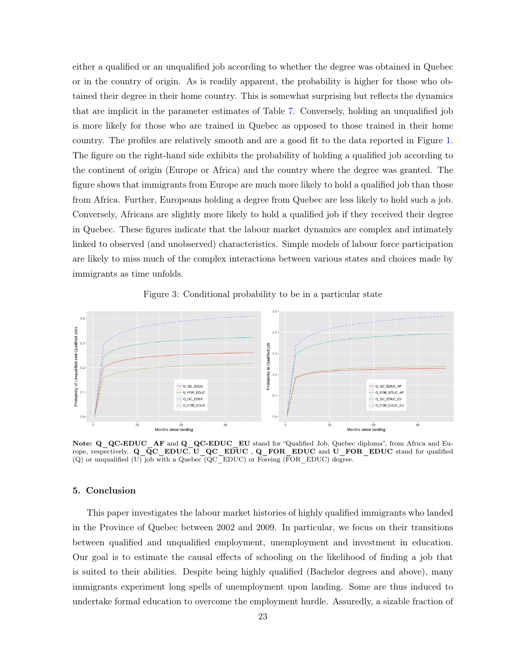either a qualified or an unqualified job according to whether the degree was obtained in Quebec or in the country of origin. As is readily apparent, the probability is higher for those who obtained their degree in their home country. This is somewhat surprising but reflects the dynamics that are implicit in the parameter estimates of Table [7.](#page-23-0) Conversely, holding an unqualified job is more likely for those who are trained in Quebec as opposed to those trained in their home country. The profiles are relatively smooth and are a good fit to the data reported in Figure [1.](#page-10-0) The figure on the right-hand side exhibits the probability of holding a qualified job according to the continent of origin (Europe or Africa) and the country where the degree was granted. The figure shows that immigrants from Europe are much more likely to hold a qualified job than those from Africa. Further, Europeans holding a degree from Quebec are less likely to hold such a job. Conversely, Africans are slightly more likely to hold a qualified job if they received their degree in Quebec. These figures indicate that the labour market dynamics are complex and intimately linked to observed (and unobserved) characteristics. Simple models of labour force participation are likely to miss much of the complex interactions between various states and choices made by immigrants as time unfolds.

Figure 3: Conditional probability to be in a particular state

<span id="page-25-1"></span>

Note: Q\_QC-EDUC\_AF and Q\_QC-EDUC\_EU stand for "Qualified Job, Quebec diploma", from Africa and Europe, respectively. Q QC EDUC, U QC EDUC, Q FOR EDUC and U FOR EDUC stand for qualified (Q) or unqualified (U) job with a Quebec (QC EDUC) or Foreing (FOR EDUC) degree.

## <span id="page-25-0"></span>5. Conclusion

This paper investigates the labour market histories of highly qualified immigrants who landed in the Province of Quebec between 2002 and 2009. In particular, we focus on their transitions between qualified and unqualified employment, unemployment and investment in education. Our goal is to estimate the causal effects of schooling on the likelihood of finding a job that is suited to their abilities. Despite being highly qualified (Bachelor degrees and above), many immigrants experiment long spells of unemployment upon landing. Some are thus induced to undertake formal education to overcome the employment hurdle. Assuredly, a sizable fraction of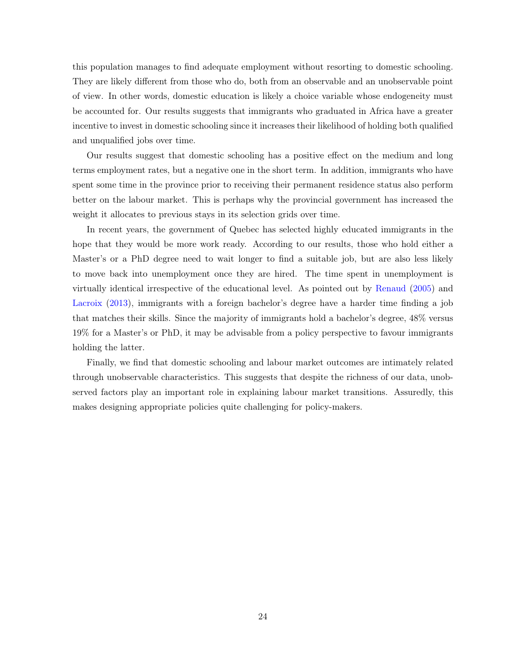<span id="page-26-0"></span>this population manages to find adequate employment without resorting to domestic schooling. They are likely different from those who do, both from an observable and an unobservable point of view. In other words, domestic education is likely a choice variable whose endogeneity must be accounted for. Our results suggests that immigrants who graduated in Africa have a greater incentive to invest in domestic schooling since it increases their likelihood of holding both qualified and unqualified jobs over time.

Our results suggest that domestic schooling has a positive effect on the medium and long terms employment rates, but a negative one in the short term. In addition, immigrants who have spent some time in the province prior to receiving their permanent residence status also perform better on the labour market. This is perhaps why the provincial government has increased the weight it allocates to previous stays in its selection grids over time.

In recent years, the government of Quebec has selected highly educated immigrants in the hope that they would be more work ready. According to our results, those who hold either a Master's or a PhD degree need to wait longer to find a suitable job, but are also less likely to move back into unemployment once they are hired. The time spent in unemployment is virtually identical irrespective of the educational level. As pointed out by [Renaud](#page-29-4) [\(2005\)](#page-29-4) and [Lacroix](#page-29-1) [\(2013\)](#page-29-1), immigrants with a foreign bachelor's degree have a harder time finding a job that matches their skills. Since the majority of immigrants hold a bachelor's degree, 48% versus 19% for a Master's or PhD, it may be advisable from a policy perspective to favour immigrants holding the latter.

Finally, we find that domestic schooling and labour market outcomes are intimately related through unobservable characteristics. This suggests that despite the richness of our data, unobserved factors play an important role in explaining labour market transitions. Assuredly, this makes designing appropriate policies quite challenging for policy-makers.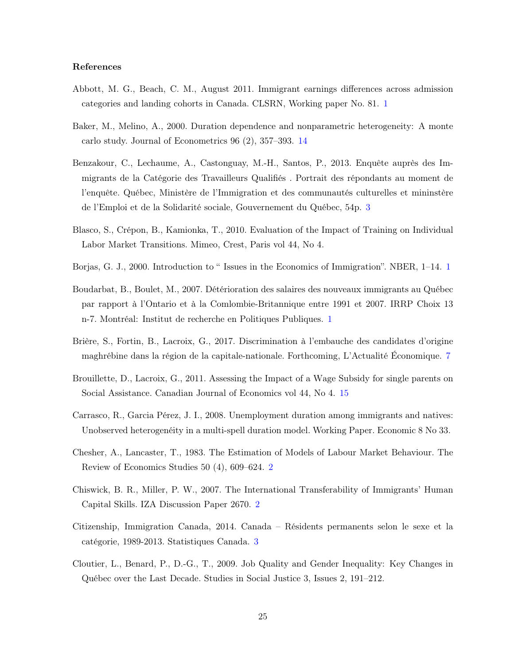#### References

- <span id="page-27-0"></span>Abbott, M. G., Beach, C. M., August 2011. Immigrant earnings differences across admission categories and landing cohorts in Canada. CLSRN, Working paper No. 81. [1](#page-2-0)
- <span id="page-27-8"></span>Baker, M., Melino, A., 2000. Duration dependence and nonparametric heterogeneity: A monte carlo study. Journal of Econometrics 96 (2), 357–393. [14](#page-16-3)
- <span id="page-27-5"></span>Benzakour, C., Lechaume, A., Castonguay, M.-H., Santos, P., 2013. Enquête auprès des Immigrants de la Catégorie des Travailleurs Qualifiés . Portrait des répondants au moment de l'enquête. Québec, Ministère de l'Immigration et des communautés culturelles et mininstère de l'Emploi et de la Solidarité sociale, Gouvernement du Québec, 54p. [3](#page-5-3)
- Blasco, S., Crépon, B., Kamionka, T., 2010. Evaluation of the Impact of Training on Individual Labor Market Transitions. Mimeo, Crest, Paris vol 44, No 4.
- <span id="page-27-1"></span>Borjas, G. J., 2000. Introduction to " Issues in the Economics of Immigration". NBER, 1–14. [1](#page-2-0)
- <span id="page-27-2"></span>Boudarbat, B., Boulet, M., 2007. Détérioration des salaires des nouveaux immigrants au Québec par rapport à l'Ontario et à la Comlombie-Britannique entre 1991 et 2007. IRRP Choix 13 n-7. Montréal: Institut de recherche en Politiques Publiques. [1](#page-2-0)
- <span id="page-27-7"></span>Brière, S., Fortin, B., Lacroix, G., 2017. Discrimination à l'embauche des candidates d'origine maghrébine dans la région de la capitale-nationale. Forthcoming, L'Actualité Économique. [7](#page-9-3)
- <span id="page-27-9"></span>Brouillette, D., Lacroix, G., 2011. Assessing the Impact of a Wage Subsidy for single parents on Social Assistance. Canadian Journal of Economics vol 44, No 4. [15](#page-17-3)
- Carrasco, R., Garcia Pérez, J. I., 2008. Unemployment duration among immigrants and natives: Unobserved heterogenéity in a multi-spell duration model. Working Paper. Economic 8 No 33.
- <span id="page-27-3"></span>Chesher, A., Lancaster, T., 1983. The Estimation of Models of Labour Market Behaviour. The Review of Economics Studies 50 (4), 609–624. [2](#page-4-0)
- <span id="page-27-4"></span>Chiswick, B. R., Miller, P. W., 2007. The International Transferability of Immigrants' Human Capital Skills. IZA Discussion Paper 2670. [2](#page-4-0)
- <span id="page-27-6"></span>Citizenship, Immigration Canada, 2014. Canada – Résidents permanents selon le sexe et la catégorie, 1989-2013. Statistiques Canada. [3](#page-5-3)
- Cloutier, L., Benard, P., D.-G., T., 2009. Job Quality and Gender Inequality: Key Changes in Québec over the Last Decade. Studies in Social Justice 3, Issues 2, 191–212.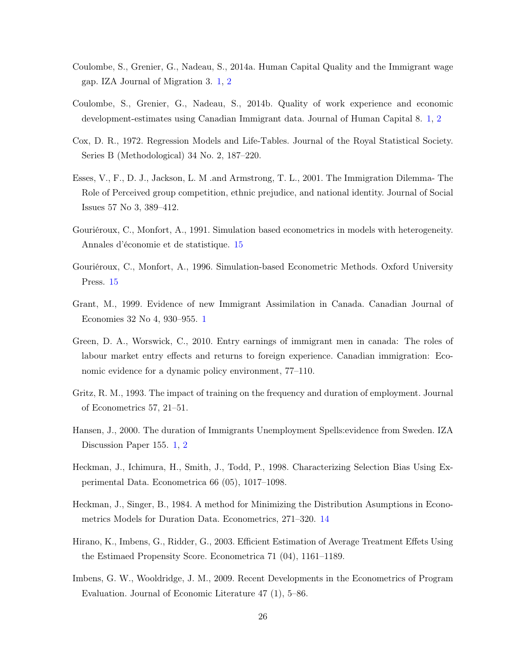- <span id="page-28-3"></span>Coulombe, S., Grenier, G., Nadeau, S., 2014a. Human Capital Quality and the Immigrant wage gap. IZA Journal of Migration 3. [1,](#page-2-0) [2](#page-4-0)
- <span id="page-28-2"></span>Coulombe, S., Grenier, G., Nadeau, S., 2014b. Quality of work experience and economic development-estimates using Canadian Immigrant data. Journal of Human Capital 8. [1,](#page-2-0) [2](#page-4-0)
- Cox, D. R., 1972. Regression Models and Life-Tables. Journal of the Royal Statistical Society. Series B (Methodological) 34 No. 2, 187–220.
- Esses, V., F., D. J., Jackson, L. M .and Armstrong, T. L., 2001. The Immigration Dilemma- The Role of Perceived group competition, ethnic prejudice, and national identity. Journal of Social Issues 57 No 3, 389–412.
- <span id="page-28-6"></span>Gouriéroux, C., Monfort, A., 1991. Simulation based econometrics in models with heterogeneity. Annales d'économie et de statistique. [15](#page-17-3)
- <span id="page-28-5"></span>Gouriéroux, C., Monfort, A., 1996. Simulation-based Econometric Methods. Oxford University Press. [15](#page-17-3)
- <span id="page-28-0"></span>Grant, M., 1999. Evidence of new Immigrant Assimilation in Canada. Canadian Journal of Economies 32 No 4, 930–955. [1](#page-2-0)
- Green, D. A., Worswick, C., 2010. Entry earnings of immigrant men in canada: The roles of labour market entry effects and returns to foreign experience. Canadian immigration: Economic evidence for a dynamic policy environment, 77–110.
- Gritz, R. M., 1993. The impact of training on the frequency and duration of employment. Journal of Econometrics 57, 21–51.
- <span id="page-28-1"></span>Hansen, J., 2000. The duration of Immigrants Unemployment Spells:evidence from Sweden. IZA Discussion Paper 155. [1,](#page-2-0) [2](#page-4-0)
- Heckman, J., Ichimura, H., Smith, J., Todd, P., 1998. Characterizing Selection Bias Using Experimental Data. Econometrica 66 (05), 1017–1098.
- <span id="page-28-4"></span>Heckman, J., Singer, B., 1984. A method for Minimizing the Distribution Asumptions in Econometrics Models for Duration Data. Econometrics, 271–320. [14](#page-16-3)
- Hirano, K., Imbens, G., Ridder, G., 2003. Efficient Estimation of Average Treatment Effets Using the Estimaed Propensity Score. Econometrica 71 (04), 1161–1189.
- Imbens, G. W., Wooldridge, J. M., 2009. Recent Developments in the Econometrics of Program Evaluation. Journal of Economic Literature 47 (1), 5–86.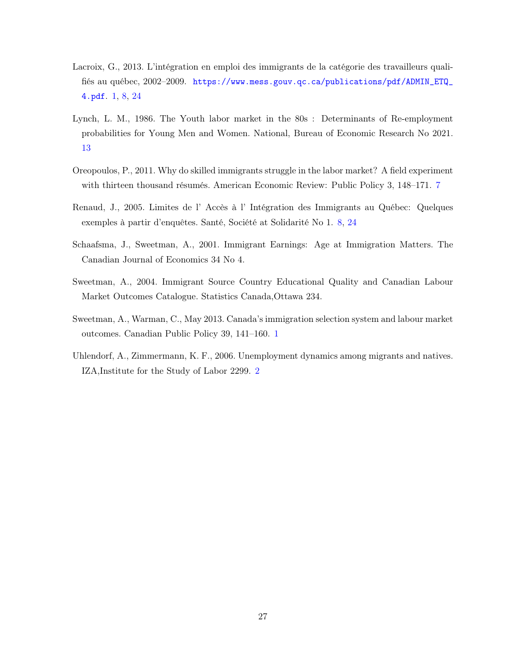- <span id="page-29-1"></span>Lacroix, G., 2013. L'intégration en emploi des immigrants de la catégorie des travailleurs qualifiés au québec, 2002–2009. [https://www.mess.gouv.qc.ca/publications/pdf/ADMIN\\_ETQ\\_](https://www.mess.gouv.qc.ca/publications/pdf/ADMIN_ETQ_4.pdf) [4.pdf](https://www.mess.gouv.qc.ca/publications/pdf/ADMIN_ETQ_4.pdf). [1,](#page-2-0) [8,](#page-10-2) [24](#page-26-0)
- <span id="page-29-5"></span>Lynch, L. M., 1986. The Youth labor market in the 80s : Determinants of Re-employment probabilities for Young Men and Women. National, Bureau of Economic Research No 2021. [13](#page-15-4)
- <span id="page-29-3"></span>Oreopoulos, P., 2011. Why do skilled immigrants struggle in the labor market? A field experiment with thirteen thousand résumés. American Economic Review: Public Policy 3, 148–171. [7](#page-9-3)
- <span id="page-29-4"></span>Renaud, J., 2005. Limites de l' Accès à l' Intégration des Immigrants au Québec: Quelques exemples à partir d'enquêtes. Santé, Société at Solidarité No 1. [8,](#page-10-2) [24](#page-26-0)
- Schaafsma, J., Sweetman, A., 2001. Immigrant Earnings: Age at Immigration Matters. The Canadian Journal of Economics 34 No 4.
- Sweetman, A., 2004. Immigrant Source Country Educational Quality and Canadian Labour Market Outcomes Catalogue. Statistics Canada,Ottawa 234.
- <span id="page-29-0"></span>Sweetman, A., Warman, C., May 2013. Canada's immigration selection system and labour market outcomes. Canadian Public Policy 39, 141–160. [1](#page-2-0)
- <span id="page-29-2"></span>Uhlendorf, A., Zimmermann, K. F., 2006. Unemployment dynamics among migrants and natives. IZA,Institute for the Study of Labor 2299. [2](#page-4-0)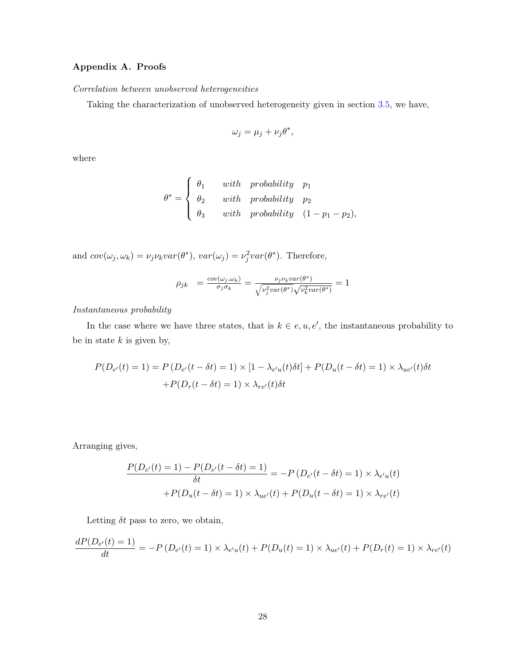# Appendix A. Proofs

# Correlation between unobserved heterogeneities

Taking the characterization of unobserved heterogeneity given in section [3.5,](#page-16-4) we have,

$$
\omega_j = \mu_j + \nu_j \theta^*,
$$

where

$$
\theta^* = \begin{cases} \theta_1 & with \text{ probability } p_1 \\ \theta_2 & with \text{ probability } p_2 \\ \theta_3 & with \text{ probability } (1 - p_1 - p_2), \end{cases}
$$

and  $cov(\omega_j, \omega_k) = \nu_j \nu_k var(\theta^*), var(\omega_j) = \nu_j^2 var(\theta^*).$  Therefore,

$$
\rho_{jk} = \frac{cov(\omega_j, \omega_k)}{\sigma_j \sigma_k} = \frac{\nu_j \nu_k var(\theta^*)}{\sqrt{\nu_j^2 var(\theta^*)} \sqrt{\nu_k^2 var(\theta^*)}} = 1
$$

# <span id="page-30-0"></span>Instantaneous probability

In the case where we have three states, that is  $k \in e, u, e'$ , the instantaneous probability to be in state  $k$  is given by,

$$
P(D_{e'}(t) = 1) = P(D_{e'}(t - \delta t) = 1) \times [1 - \lambda_{e'u}(t)\delta t] + P(D_u(t - \delta t) = 1) \times \lambda_{ue'}(t)\delta t
$$

$$
+ P(D_r(t - \delta t) = 1) \times \lambda_{re'}(t)\delta t
$$

Arranging gives,

$$
\frac{P(D_{e'}(t) = 1) - P(D_{e'}(t - \delta t) = 1)}{\delta t} = -P(D_{e'}(t - \delta t) = 1) \times \lambda_{e'u}(t)
$$

$$
+P(D_u(t - \delta t) = 1) \times \lambda_{ue'}(t) + P(D_u(t - \delta t) = 1) \times \lambda_{re'}(t)
$$

Letting  $\delta t$  pass to zero, we obtain,

$$
\frac{dP(D_{e'}(t) = 1)}{dt} = -P(D_{e'}(t) = 1) \times \lambda_{e'u}(t) + P(D_u(t) = 1) \times \lambda_{ue'}(t) + P(D_r(t) = 1) \times \lambda_{re'}(t)
$$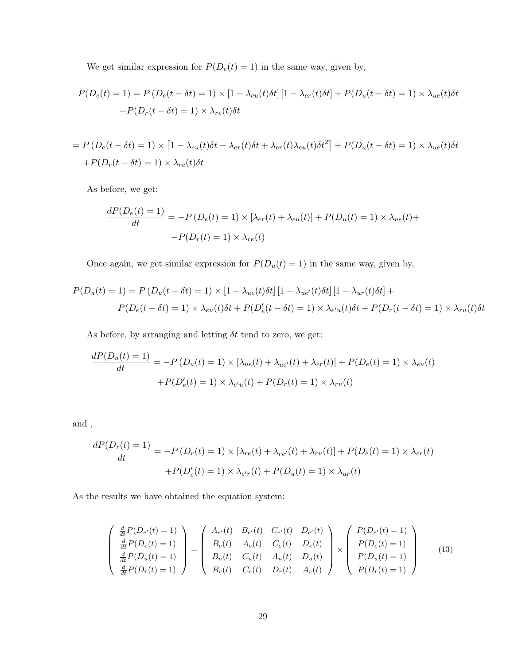We get similar expression for  $P(D_e(t) = 1)$  in the same way, given by,

$$
P(D_e(t) = 1) = P(D_e(t - \delta t) = 1) \times [1 - \lambda_{eu}(t)\delta t] [1 - \lambda_{er}(t)\delta t] + P(D_u(t - \delta t) = 1) \times \lambda_{ue}(t)\delta t
$$
  
+ 
$$
P(D_r(t - \delta t) = 1) \times \lambda_{re}(t)\delta t
$$

$$
= P\left(D_e(t - \delta t) = 1\right) \times \left[1 - \lambda_{eu}(t)\delta t - \lambda_{er}(t)\delta t + \lambda_{er}(t)\lambda_{eu}(t)\delta t^2\right] + P(D_u(t - \delta t) = 1) \times \lambda_{ue}(t)\delta t
$$

$$
+ P(D_r(t - \delta t) = 1) \times \lambda_{re}(t)\delta t
$$

As before, we get:

$$
\frac{dP(D_e(t) = 1)}{dt} = -P(D_e(t) = 1) \times [\lambda_{er}(t) + \lambda_{eu}(t)] + P(D_u(t) = 1) \times \lambda_{ue}(t) +
$$

$$
-P(D_r(t) = 1) \times \lambda_{re}(t)
$$

Once again, we get similar expression for  $P(D_u(t) = 1)$  in the same way, given by,

$$
P(D_u(t) = 1) = P(D_u(t - \delta t) = 1) \times [1 - \lambda_{ue}(t)\delta t] [1 - \lambda_{ue}(t)\delta t] [1 - \lambda_{ur}(t)\delta t] +
$$
  

$$
P(D_e(t - \delta t) = 1) \times \lambda_{eu}(t)\delta t + P(D_e'(t - \delta t) = 1) \times \lambda_{e'u}(t)\delta t + P(D_r(t - \delta t) = 1) \times \lambda_{ru}(t)\delta t
$$

As before, by arranging and letting  $\delta t$  tend to zero, we get:

$$
\frac{dP(D_u(t) = 1)}{dt} = -P(D_u(t) = 1) \times [\lambda_{ue}(t) + \lambda_{ue'}(t) + \lambda_{er}(t)] + P(D_e(t) = 1) \times \lambda_{eu}(t)
$$

$$
+ P(D'_e(t) = 1) \times \lambda_{e'u}(t) + P(D_r(t) = 1) \times \lambda_{ru}(t)
$$

and ,

$$
\frac{dP(D_r(t) = 1)}{dt} = -P(D_r(t) = 1) \times [\lambda_{re}(t) + \lambda_{re'}(t) + \lambda_{ru}(t)] + P(D_e(t) = 1) \times \lambda_{er}(t)
$$

$$
+ P(D'_e(t) = 1) \times \lambda_{e'r}(t) + P(D_u(t) = 1) \times \lambda_{ur}(t)
$$

As the results we have obtained the equation system:

$$
\begin{pmatrix}\n\frac{d}{dt}P(D_{e'}(t) = 1) \\
\frac{d}{dt}P(D_{e}(t) = 1) \\
\frac{d}{dt}P(D_{u}(t) = 1) \\
\frac{d}{dt}P(D_{r}(t) = 1)\n\end{pmatrix} = \begin{pmatrix}\nA_{e'}(t) & B_{e'}(t) & C_{e'}(t) & D_{e'}(t) \\
B_{e}(t) & A_{e}(t) & C_{e}(t) & D_{e}(t) \\
B_{u}(t) & C_{u}(t) & A_{u}(t) & D_{u}(t) \\
B_{r}(t) & C_{r}(t) & D_{r}(t) & A_{r}(t)\n\end{pmatrix} \times \begin{pmatrix}\nP(D_{e'}(t) = 1) \\
P(D_{e}(t) = 1) \\
P(D_{u}(t) = 1) \\
P(D_{r}(t) = 1)\n\end{pmatrix}
$$
\n(13)